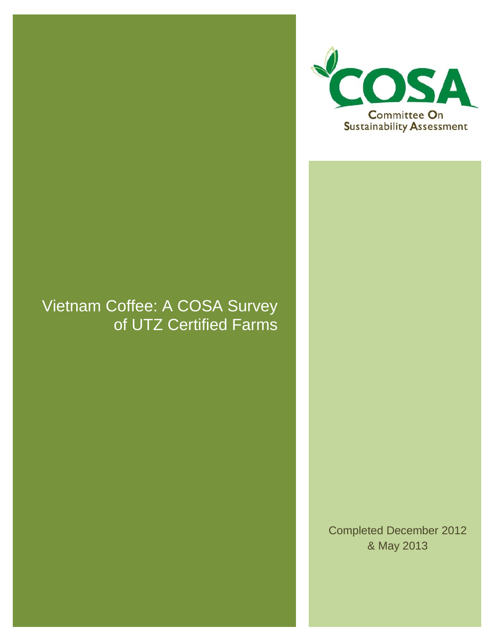# Vietnam Coffee: A COSA Survey of UTZ Certified Farms



Completed December 2012 & May 2013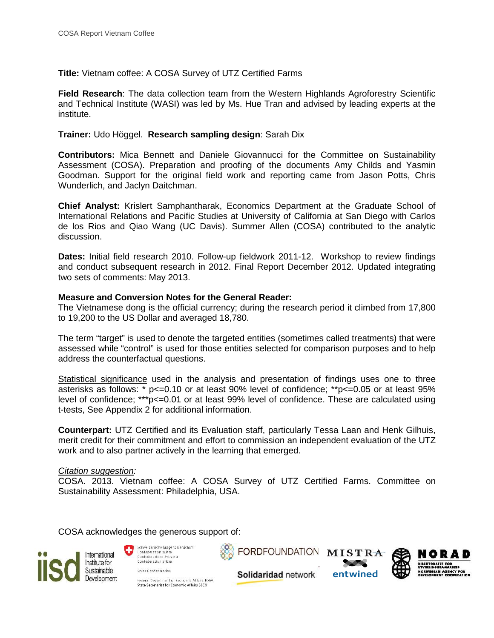**Title:** Vietnam coffee: A COSA Survey of UTZ Certified Farms

**Field Research**: The data collection team from the Western Highlands Agroforestry Scientific and Technical Institute (WASI) was led by Ms. Hue Tran and advised by leading experts at the institute.

**Trainer:** Udo Höggel. **Research sampling design**: Sarah Dix

**Contributors:** Mica Bennett and Daniele Giovannucci for the Committee on Sustainability Assessment (COSA). Preparation and proofing of the documents Amy Childs and Yasmin Goodman. Support for the original field work and reporting came from Jason Potts, Chris Wunderlich, and Jaclyn Daitchman.

**Chief Analyst:** Krislert Samphantharak, Economics Department at the Graduate School of International Relations and Pacific Studies at University of California at San Diego with Carlos de los Rios and Qiao Wang (UC Davis). Summer Allen (COSA) contributed to the analytic discussion.

**Dates:** Initial field research 2010. Follow-up fieldwork 2011-12. Workshop to review findings and conduct subsequent research in 2012. Final Report December 2012. Updated integrating two sets of comments: May 2013.

#### **Measure and Conversion Notes for the General Reader:**

The Vietnamese dong is the official currency; during the research period it climbed from 17,800 to 19,200 to the US Dollar and averaged 18,780.

The term "target" is used to denote the targeted entities (sometimes called treatments) that were assessed while "control" is used for those entities selected for comparison purposes and to help address the counterfactual questions.

Statistical significance used in the analysis and presentation of findings uses one to three asterisks as follows:  $* p \le 0.10$  or at least 90% level of confidence;  $* p \le 0.05$  or at least 95% level of confidence; \*\*\*p<=0.01 or at least 99% level of confidence. These are calculated using t-tests, See Appendix 2 for additional information.

**Counterpart:** UTZ Certified and its Evaluation staff, particularly Tessa Laan and Henk Gilhuis, merit credit for their commitment and effort to commission an independent evaluation of the UTZ work and to also partner actively in the learning that emerged.

#### *Citation suggestion:*

COSA. 2013. Vietnam coffee: A COSA Survey of UTZ Certified Farms. Committee on Sustainability Assessment: Philadelphia, USA.

COSA acknowledges the generous support of:

Swiss Confederation

O



Schweizerische Eidgenossenschaft Confederation suisse Confederazione Svizzera Confederaziun svizra

FORDFOUNDATION MISTRA





Fadera, Denartment of Economic Attairs EDFA State Secretariat for Economic Affairs SECO

Solidaridad network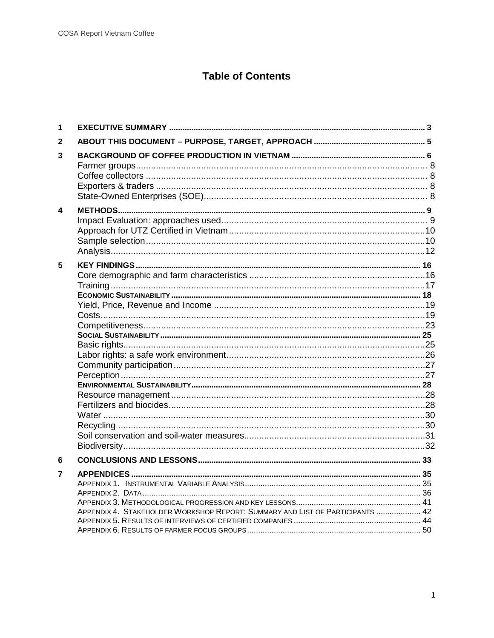# **Table of Contents**

| 1 |                                                                               |  |
|---|-------------------------------------------------------------------------------|--|
| 2 |                                                                               |  |
| 3 |                                                                               |  |
| 4 |                                                                               |  |
| 5 |                                                                               |  |
| 6 |                                                                               |  |
| 7 | APPENDIX 4. STAKEHOLDER WORKSHOP REPORT: SUMMARY AND LIST OF PARTICIPANTS  42 |  |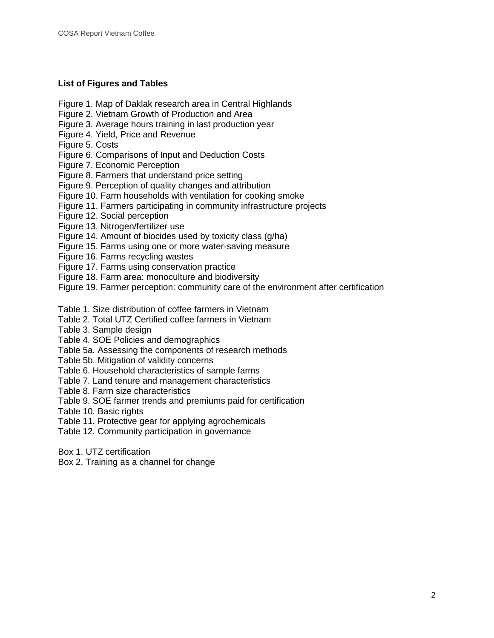## **List of Figures and Tables**

- Figure 1. Map of Daklak research area in Central Highlands
- Figure 2. Vietnam Growth of Production and Area
- Figure 3. Average hours training in last production year
- Figure 4. Yield, Price and Revenue
- Figure 5. Costs
- Figure 6. Comparisons of Input and Deduction Costs
- Figure 7. Economic Perception
- Figure 8. Farmers that understand price setting
- Figure 9. Perception of quality changes and attribution
- Figure 10. Farm households with ventilation for cooking smoke
- Figure 11. Farmers participating in community infrastructure projects
- Figure 12. Social perception
- Figure 13. Nitrogen/fertilizer use
- Figure 14. Amount of biocides used by toxicity class (g/ha)
- Figure 15. Farms using one or more water-saving measure
- Figure 16. Farms recycling wastes
- Figure 17. Farms using conservation practice
- Figure 18. Farm area: monoculture and biodiversity
- Figure 19. Farmer perception: community care of the environment after certification
- Table 1. Size distribution of coffee farmers in Vietnam
- Table 2. Total UTZ Certified coffee farmers in Vietnam
- Table 3. Sample design
- Table 4. SOE Policies and demographics
- Table 5a. Assessing the components of research methods
- Table 5b. Mitigation of validity concerns
- Table 6. Household characteristics of sample farms
- Table 7. Land tenure and management characteristics
- Table 8. Farm size characteristics
- Table 9. SOE farmer trends and premiums paid for certification

Table 10. Basic rights

- Table 11. Protective gear for applying agrochemicals
- Table 12. Community participation in governance
- Box 1. UTZ certification
- Box 2. Training as a channel for change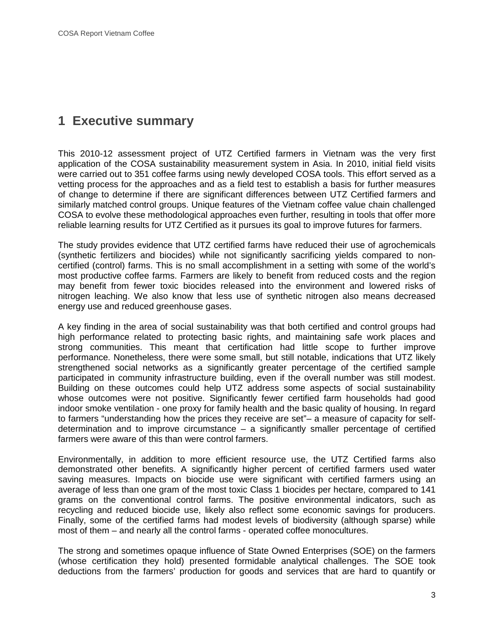# **1 Executive summary**

This 2010-12 assessment project of UTZ Certified farmers in Vietnam was the very first application of the COSA sustainability measurement system in Asia. In 2010, initial field visits were carried out to 351 coffee farms using newly developed COSA tools. This effort served as a vetting process for the approaches and as a field test to establish a basis for further measures of change to determine if there are significant differences between UTZ Certified farmers and similarly matched control groups. Unique features of the Vietnam coffee value chain challenged COSA to evolve these methodological approaches even further, resulting in tools that offer more reliable learning results for UTZ Certified as it pursues its goal to improve futures for farmers.

The study provides evidence that UTZ certified farms have reduced their use of agrochemicals (synthetic fertilizers and biocides) while not significantly sacrificing yields compared to non certified (control) farms. This is no small accomplishment in a setting with some of the world's most productive coffee farms. Farmers are likely to benefit from reduced costs and the region may benefit from fewer toxic biocides released into the environment and lowered risks of nitrogen leaching. We also know that less use of synthetic nitrogen also means decreased energy use and reduced greenhouse gases.

A key finding in the area of social sustainability was that both certified and control groups had high performance related to protecting basic rights, and maintaining safe work places and strong communities. This meant that certification had little scope to further improve performance. Nonetheless, there were some small, but still notable, indications that UTZ likely strengthened social networks as a significantly greater percentage of the certified sample participated in community infrastructure building, even if the overall number was still modest. Building on these outcomes could help UTZ address some aspects of social sustainability whose outcomes were not positive. Significantly fewer certified farm households had good indoor smoke ventilation - one proxy for family health and the basic quality of housing. In regard to farmers "understanding how the prices they receive are set"– a measure of capacity for self determination and to improve circumstance  $-$  a significantly smaller percentage of certified farmers were aware of this than were control farmers.

Environmentally, in addition to more efficient resource use, the UTZ Certified farms also demonstrated other benefits. A significantly higher percent of certified farmers used water saving measures. Impacts on biocide use were significant with certified farmers using an average of less than one gram of the most toxic Class 1 biocides per hectare, compared to 141 grams on the conventional control farms. The positive environmental indicators, such as recycling and reduced biocide use, likely also reflect some economic savings for producers. Finally, some of the certified farms had modest levels of biodiversity (although sparse) while most of them – and nearly all the control farms - operated coffee monocultures.

The strong and sometimes opaque influence of State Owned Enterprises (SOE) on the farmers (whose certification they hold) presented formidable analytical challenges. The SOE took deductions from the farmers' production for goods and services that are hard to quantify or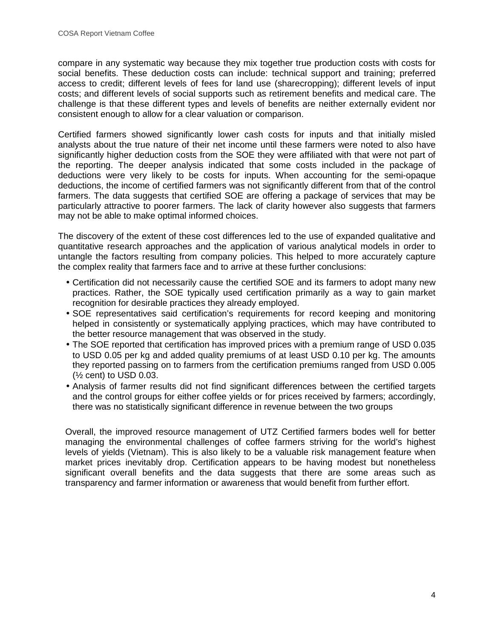compare in any systematic way because they mix together true production costs with costs for social benefits. These deduction costs can include: technical support and training; preferred access to credit; different levels of fees for land use (sharecropping); different levels of input costs; and different levels of social supports such as retirement benefits and medical care. The challenge is that these different types and levels of benefits are neither externally evident nor consistent enough to allow for a clear valuation or comparison.

Certified farmers showed significantly lower cash costs for inputs and that initially misled analysts about the true nature of their net income until these farmers were noted to also have significantly higher deduction costs from the SOE they were affiliated with that were not part of the reporting. The deeper analysis indicated that some costs included in the package of deductions were very likely to be costs for inputs. When accounting for the semi-opaque deductions, the income of certified farmers was not significantly different from that of the control farmers. The data suggests that certified SOE are offering a package of services that may be particularly attractive to poorer farmers. The lack of clarity however also suggests that farmers may not be able to make optimal informed choices.

The discovery of the extent of these cost differences led to the use of expanded qualitative and quantitative research approaches and the application of various analytical models in order to untangle the factors resulting from company policies. This helped to more accurately capture the complex reality that farmers face and to arrive at these further conclusions:

- Certification did not necessarily cause the certified SOE and its farmers to adopt many new practices. Rather, the SOE typically used certification primarily as a way to gain market recognition for desirable practices they already employed.
- SOE representatives said certification's requirements for record keeping and monitoring helped in consistently or systematically applying practices, which may have contributed to the better resource management that was observed in the study.
- The SOE reported that certification has improved prices with a premium range of USD 0.035 to USD 0.05 per kg and added quality premiums of at least USD 0.10 per kg. The amounts they reported passing on to farmers from the certification premiums ranged from USD 0.005 (½ cent) to USD 0.03.
- Analysis of farmer results did not find significant differences between the certified targets and the control groups for either coffee yields or for prices received by farmers; accordingly, there was no statistically significant difference in revenue between the two groups

Overall, the improved resource management of UTZ Certified farmers bodes well for better managing the environmental challenges of coffee farmers striving for the world's highest levels of yields (Vietnam). This is also likely to be a valuable risk management feature when market prices inevitably drop. Certification appears to be having modest but nonetheless significant overall benefits and the data suggests that there are some areas such as transparency and farmer information or awareness that would benefit from further effort.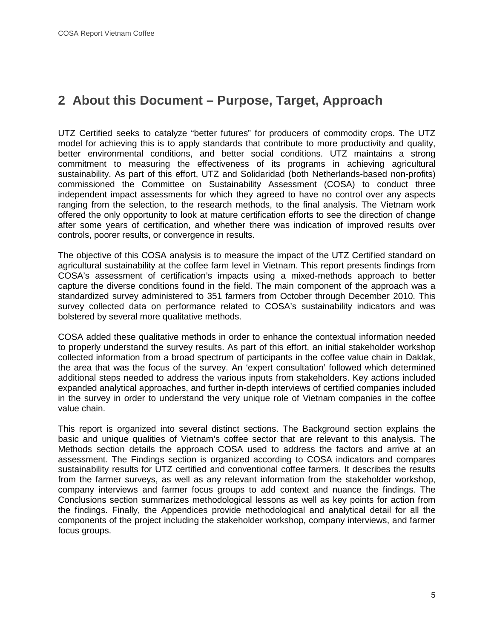# **2 About this Document – Purpose, Target, Approach**

UTZ Certified seeks to catalyze "better futures" for producers of commodity crops. The UTZ model for achieving this is to apply standards that contribute to more productivity and quality, better environmental conditions, and better social conditions. UTZ maintains a strong commitment to measuring the effectiveness of its programs in achieving agricultural sustainability. As part of this effort, UTZ and Solidaridad (both Netherlands-based non-profits) commissioned the Committee on Sustainability Assessment (COSA) to conduct three independent impact assessments for which they agreed to have no control over any aspects ranging from the selection, to the research methods, to the final analysis. The Vietnam work offered the only opportunity to look at mature certification efforts to see the direction of change after some years of certification, and whether there was indication of improved results over controls, poorer results, or convergence in results.

The objective of this COSA analysis is to measure the impact of the UTZ Certified standard on agricultural sustainability at the coffee farm level in Vietnam. This report presents findings from COSA's assessment of certification's impacts using a mixed-methods approach to better capture the diverse conditions found in the field. The main component of the approach was a standardized survey administered to 351 farmers from October through December 2010. This survey collected data on performance related to COSA's sustainability indicators and was bolstered by several more qualitative methods.

COSA added these qualitative methods in order to enhance the contextual information needed to properly understand the survey results. As part of this effort, an initial stakeholder workshop collected information from a broad spectrum of participants in the coffee value chain in Daklak, the area that was the focus of the survey. An 'expert consultation' followed which determined additional steps needed to address the various inputs from stakeholders. Key actions included expanded analytical approaches, and further in-depth interviews of certified companies included in the survey in order to understand the very unique role of Vietnam companies in the coffee value chain.

This report is organized into several distinct sections. The Background section explains the basic and unique qualities of Vietnam's coffee sector that are relevant to this analysis. The Methods section details the approach COSA used to address the factors and arrive at an assessment. The Findings section is organized according to COSA indicators and compares sustainability results for UTZ certified and conventional coffee farmers. It describes the results from the farmer surveys, as well as any relevant information from the stakeholder workshop, company interviews and farmer focus groups to add context and nuance the findings. The Conclusions section summarizes methodological lessons as well as key points for action from the findings. Finally, the Appendices provide methodological and analytical detail for all the components of the project including the stakeholder workshop, company interviews, and farmer focus groups.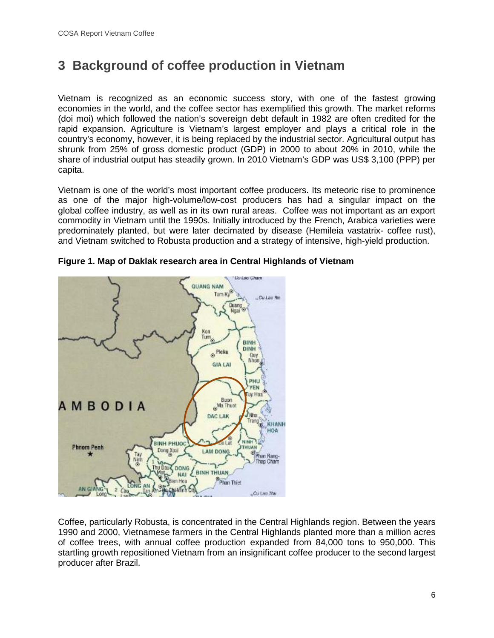# **3 Background of coffee production in Vietnam**

Vietnam is recognized as an economic success story, with one of the fastest growing economies in the world, and the coffee sector has exemplified this growth. The market reforms (doi moi) which followed the nation's sovereign debt default in 1982 are often credited for the rapid expansion. Agriculture is Vietnam's largest employer and plays a critical role in the country's economy, however, it is being replaced by the industrial sector. Agricultural output has shrunk from 25% of gross domestic product (GDP) in 2000 to about 20% in 2010, while the share of industrial output has steadily grown. In 2010 Vietnam's GDP was US\$ 3,100 (PPP) per capita.

Vietnam is one of the world's most important coffee producers. Its meteoric rise to prominence as one of the major high-volume/low-cost producers has had a singular impact on the global coffee industry, as well as in its own rural areas. Coffee was not important as an export commodity in Vietnam until the 1990s. Initially introduced by the French, Arabica varieties were predominately planted, but were later decimated by disease (Hemileia vastatrix- coffee rust), and Vietnam switched to Robusta production and a strategy of intensive, high-yield production.



#### **Figure 1. Map of Daklak research area in Central Highlands of Vietnam**

Coffee, particularly Robusta, is concentrated in the Central Highlands region. Between the years 1990 and 2000, Vietnamese farmers in the Central Highlands planted more than a million acres of coffee trees, with annual coffee production expanded from 84,000 tons to 950,000. This startling growth repositioned Vietnam from an insignificant coffee producer to the second largest producer after Brazil.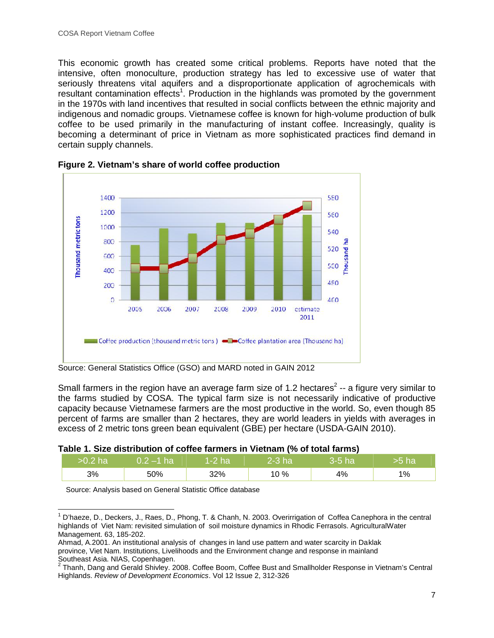This economic growth has created some critical problems. Reports have noted that the intensive, often monoculture, production strategy has led to excessive use of water that seriously threatens vital aquifers and a disproportionate application of agrochemicals with resultant contamination effects<sup>1</sup>. Production in the highlands was promoted by the government in the 1970s with land incentives that resulted in social conflicts between the ethnic majority and indigenous and nomadic groups. Vietnamese coffee is known for high-volume production of bulk coffee to be used primarily in the manufacturing of instant coffee. Increasingly, quality is becoming a determinant of price in Vietnam as more sophisticated practices find demand in certain supply channels.



**Figure 2. Vietnam's share of world coffee production**

Small farmers in the region have an average farm size of 1.2 hectares<sup>2</sup> -- a figure very similar to the farms studied by COSA. The typical farm size is not necessarily indicative of productive capacity because Vietnamese farmers are the most productive in the world. So, even though 85 percent of farms are smaller than 2 hectares, they are world leaders in yields with averages in excess of 2 metric tons green bean equivalent (GBE) per hectare (USDA-GAIN 2010).

## **Table 1. Size distribution of coffee farmers in Vietnam (% of total farms)**

| $>0.2$ ha | $0.2$ –1 ha $\parallel$ 1-2 ha |     | $2-3$ ha | $3-5$ ha | lha |
|-----------|--------------------------------|-----|----------|----------|-----|
| 3%        | 50%                            | 32% | 10 %     | 4%       | 1%  |

Source: Analysis based on General Statistic Office database

Source: General Statistics Office (GSO) and MARD noted in GAIN 2012

 $1$  D'haeze, D., Deckers, J., Raes, D., Phong, T. & Chanh, N. 2003. Overirrigation of Coffea Canephora in the central highlands of Viet Nam: revisited simulation of soil moisture dynamics in Rhodic Ferrasols. AgriculturalWater Management. 63, 185-202.

Ahmad, A.2001. An institutional analysis of changes in land use pattern and water scarcity in Daklak province, Viet Nam. Institutions, Livelihoods and the Environment change and response in mainland

Southeast Asia. NIAS, Copenhagen.<br><sup>2</sup> Thanh, Dang and Gerald Shivley. 2008. Coffee Boom, Coffee Bust and Smallholder Response in Vietnam's Central Highlands. *Review of Development Economics*. Vol 12 Issue 2, 312-326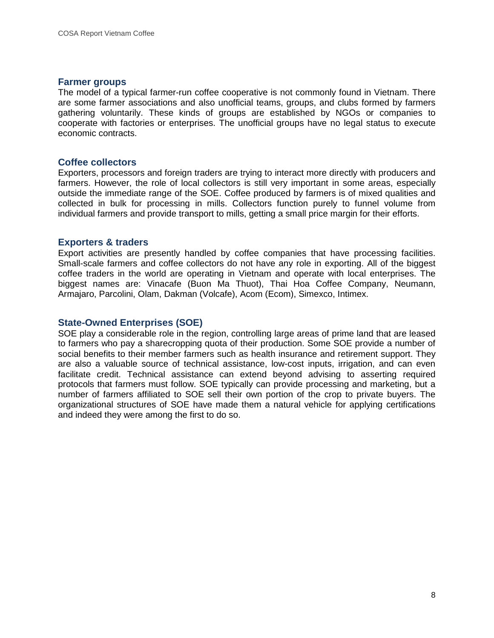#### **Farmer groups**

The model of a typical farmer-run coffee cooperative is not commonly found in Vietnam. There are some farmer associations and also unofficial teams, groups, and clubs formed by farmers gathering voluntarily. These kinds of groups are established by NGOs or companies to cooperate with factories or enterprises. The unofficial groups have no legal status to execute economic contracts.

#### **Coffee collectors**

Exporters, processors and foreign traders are trying to interact more directly with producers and farmers. However, the role of local collectors is still very important in some areas, especially outside the immediate range of the SOE. Coffee produced by farmers is of mixed qualities and collected in bulk for processing in mills. Collectors function purely to funnel volume from individual farmers and provide transport to mills, getting a small price margin for their efforts.

#### **Exporters & traders**

Export activities are presently handled by coffee companies that have processing facilities. Small-scale farmers and coffee collectors do not have any role in exporting. All of the biggest coffee traders in the world are operating in Vietnam and operate with local enterprises. The biggest names are: Vinacafe (Buon Ma Thuot), Thai Hoa Coffee Company, Neumann, Armajaro, Parcolini, Olam, Dakman (Volcafe), Acom (Ecom), Simexco, Intimex.

### **State-Owned Enterprises (SOE)**

SOE play a considerable role in the region, controlling large areas of prime land that are leased to farmers who pay a sharecropping quota of their production. Some SOE provide a number of social benefits to their member farmers such as health insurance and retirement support. They are also a valuable source of technical assistance, low-cost inputs, irrigation, and can even facilitate credit. Technical assistance can extend beyond advising to asserting required protocols that farmers must follow. SOE typically can provide processing and marketing, but a number of farmers affiliated to SOE sell their own portion of the crop to private buyers. The organizational structures of SOE have made them a natural vehicle for applying certifications and indeed they were among the first to do so.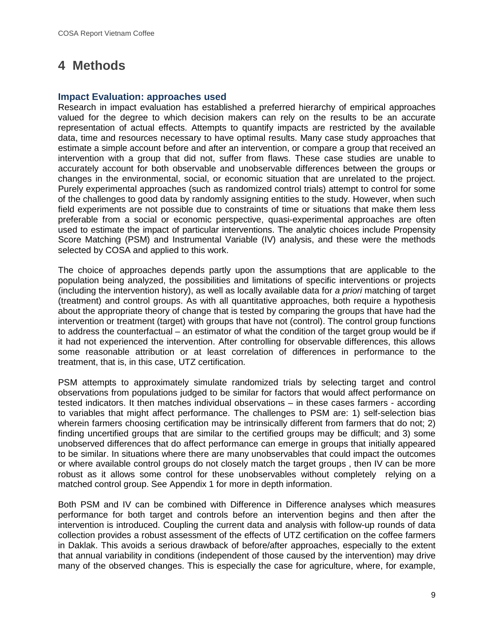# **4 Methods**

#### **Impact Evaluation: approaches used**

Research in impact evaluation has established a preferred hierarchy of empirical approaches valued for the degree to which decision makers can rely on the results to be an accurate representation of actual effects. Attempts to quantify impacts are restricted by the available data, time and resources necessary to have optimal results. Many case study approaches that estimate a simple account before and after an intervention, or compare a group that received an intervention with a group that did not, suffer from flaws. These case studies are unable to accurately account for both observable and unobservable differences between the groups or changes in the environmental, social, or economic situation that are unrelated to the project. Purely experimental approaches (such as randomized control trials) attempt to control for some of the challenges to good data by randomly assigning entities to the study. However, when such field experiments are not possible due to constraints of time or situations that make them less preferable from a social or economic perspective, quasi-experimental approaches are often used to estimate the impact of particular interventions. The analytic choices include Propensity Score Matching (PSM) and Instrumental Variable (IV) analysis, and these were the methods selected by COSA and applied to this work.

The choice of approaches depends partly upon the assumptions that are applicable to the population being analyzed, the possibilities and limitations of specific interventions or projects (including the intervention history), as well as locally available data for *a priori* matching of target (treatment) and control groups. As with all quantitative approaches, both require a hypothesis about the appropriate theory of change that is tested by comparing the groups that have had the intervention or treatment (target) with groups that have not (control). The control group functions to address the counterfactual – an estimator of what the condition of the target group would be if it had not experienced the intervention. After controlling for observable differences, this allows some reasonable attribution or at least correlation of differences in performance to the treatment, that is, in this case, UTZ certification.

PSM attempts to approximately simulate randomized trials by selecting target and control observations from populations judged to be similar for factors that would affect performance on tested indicators. It then matches individual observations – in these cases farmers - according to variables that might affect performance. The challenges to PSM are: 1) self-selection bias wherein farmers choosing certification may be intrinsically different from farmers that do not; 2) finding uncertified groups that are similar to the certified groups may be difficult; and 3) some unobserved differences that do affect performance can emerge in groups that initially appeared to be similar. In situations where there are many unobservables that could impact the outcomes or where available control groups do not closely match the target groups , then IV can be more robust as it allows some control for these unobservables without completely relying on a matched control group. See Appendix 1 for more in depth information.

Both PSM and IV can be combined with Difference in Difference analyses which measures performance for both target and controls before an intervention begins and then after the intervention is introduced. Coupling the current data and analysis with follow-up rounds of data collection provides a robust assessment of the effects of UTZ certification on the coffee farmers in Daklak. This avoids a serious drawback of before/after approaches, especially to the extent that annual variability in conditions (independent of those caused by the intervention) may drive many of the observed changes. This is especially the case for agriculture, where, for example,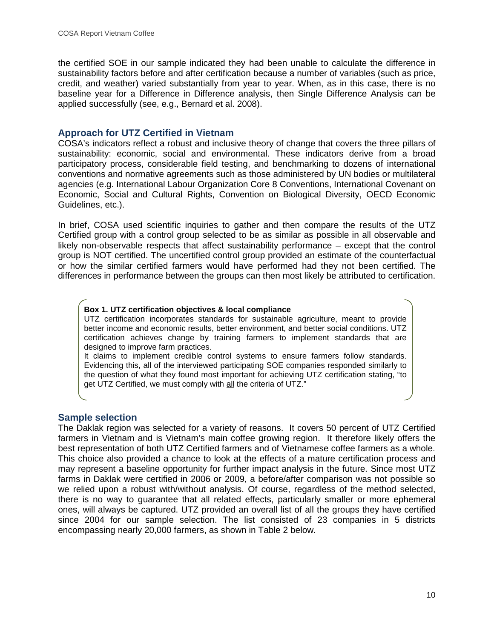the certified SOE in our sample indicated they had been unable to calculate the difference in sustainability factors before and after certification because a number of variables (such as price, credit, and weather) varied substantially from year to year. When, as in this case, there is no baseline year for a Difference in Difference analysis, then Single Difference Analysis can be applied successfully (see, e.g., Bernard et al. 2008).

## **Approach for UTZ Certified in Vietnam**

COSA's indicators reflect a robust and inclusive theory of change that covers the three pillars of sustainability: economic, social and environmental. These indicators derive from a broad participatory process, considerable field testing, and benchmarking to dozens of international conventions and normative agreements such as those administered by UN bodies or multilateral agencies (e.g. International Labour Organization Core 8 Conventions, International Covenant on Economic, Social and Cultural Rights, Convention on Biological Diversity, OECD Economic Guidelines, etc.).

In brief, COSA used scientific inquiries to gather and then compare the results of the UTZ Certified group with a control group selected to be as similar as possible in all observable and likely non-observable respects that affect sustainability performance – except that the control group is NOT certified. The uncertified control group provided an estimate of the counterfactual or how the similar certified farmers would have performed had they not been certified. The differences in performance between the groups can then most likely be attributed to certification.

#### **Box 1. UTZ certification objectives & local compliance**

UTZ certification incorporates standards for sustainable agriculture, meant to provide better income and economic results, better environment, and better social conditions. UTZ certification achieves change by training farmers to implement standards that are designed to improve farm practices.

It claims to implement credible control systems to ensure farmers follow standards. Evidencing this, all of the interviewed participating SOE companies responded similarly to the question of what they found most important for achieving UTZ certification stating, "to get UTZ Certified, we must comply with all the criteria of UTZ."

## **Sample selection**

The Daklak region was selected for a variety of reasons. It covers 50 percent of UTZ Certified farmers in Vietnam and is Vietnam's main coffee growing region. It therefore likely offers the best representation of both UTZ Certified farmers and of Vietnamese coffee farmers as a whole. This choice also provided a chance to look at the effects of a mature certification process and may represent a baseline opportunity for further impact analysis in the future. Since most UTZ farms in Daklak were certified in 2006 or 2009, a before/after comparison was not possible so we relied upon a robust with/without analysis. Of course, regardless of the method selected, there is no way to guarantee that all related effects, particularly smaller or more ephemeral ones, will always be captured. UTZ provided an overall list of all the groups they have certified since 2004 for our sample selection. The list consisted of 23 companies in 5 districts encompassing nearly 20,000 farmers, as shown in Table 2 below.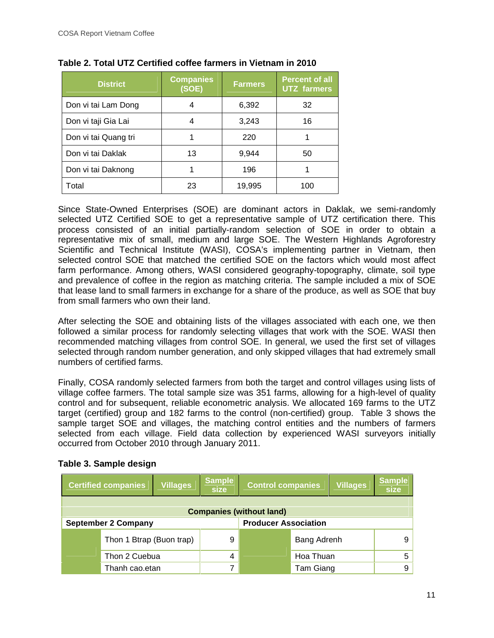| <b>District</b>      | <b>Companies</b><br>(SOE) | <b>Farmers</b> | <b>Percent of all</b><br><b>UTZ</b> farmers |
|----------------------|---------------------------|----------------|---------------------------------------------|
| Don vi tai Lam Dong  | 4                         | 6,392          | 32                                          |
| Don vi taji Gia Lai  | 4                         | 3,243          | 16                                          |
| Don vi tai Quang tri |                           | 220            |                                             |
| Don vi tai Daklak    | 13                        | 9,944          | 50                                          |
| Don vi tai Daknong   |                           | 196            |                                             |
| Total                | 23                        | 19,995         | 100                                         |

#### **Table 2. Total UTZ Certified coffee farmers in Vietnam in 2010**

Since State-Owned Enterprises (SOE) are dominant actors in Daklak, we semi-randomly selected UTZ Certified SOE to get a representative sample of UTZ certification there. This process consisted of an initial partially-random selection of SOE in order to obtain a representative mix of small, medium and large SOE. The Western Highlands Agroforestry Scientific and Technical Institute (WASI), COSA's implementing partner in Vietnam, then selected control SOE that matched the certified SOE on the factors which would most affect farm performance. Among others, WASI considered geography-topography, climate, soil type and prevalence of coffee in the region as matching criteria. The sample included a mix of SOE that lease land to small farmers in exchange for a share of the produce, as well as SOE that buy from small farmers who own their land.

After selecting the SOE and obtaining lists of the villages associated with each one, we then followed a similar process for randomly selecting villages that work with the SOE. WASI then recommended matching villages from control SOE. In general, we used the first set of villages selected through random number generation, and only skipped villages that had extremely small numbers of certified farms.

Finally, COSA randomly selected farmers from both the target and control villages using lists of village coffee farmers. The total sample size was 351 farms, allowing for a high-level of quality control and for subsequent, reliable econometric analysis. We allocated 169 farms to the UTZ target (certified) group and 182 farms to the control (non-certified) group. Table 3 shows the sample target SOE and villages, the matching control entities and the numbers of farmers selected from each village. Field data collection by experienced WASI surveyors initially occurred from October 2010 through January 2011.

|               | <b>Certified companies</b>      | <b>Villages</b> | <b>Sample</b><br>size | <b>Control companies</b>    |             | <b>Villages</b> | <b>Sample</b><br><b>size</b> |  |
|---------------|---------------------------------|-----------------|-----------------------|-----------------------------|-------------|-----------------|------------------------------|--|
|               | <b>Companies (without land)</b> |                 |                       |                             |             |                 |                              |  |
|               | <b>September 2 Company</b>      |                 |                       | <b>Producer Association</b> |             |                 |                              |  |
|               | Thon 1 Btrap (Buon trap)        |                 | 9                     |                             | Bang Adrenh |                 | 9                            |  |
| Thon 2 Cuebua |                                 | 4               |                       | Hoa Thuan                   |             | 5               |                              |  |
|               | Thanh cao.etan                  |                 | 7                     |                             | Tam Giang   |                 | 9                            |  |

## **Table 3. Sample design**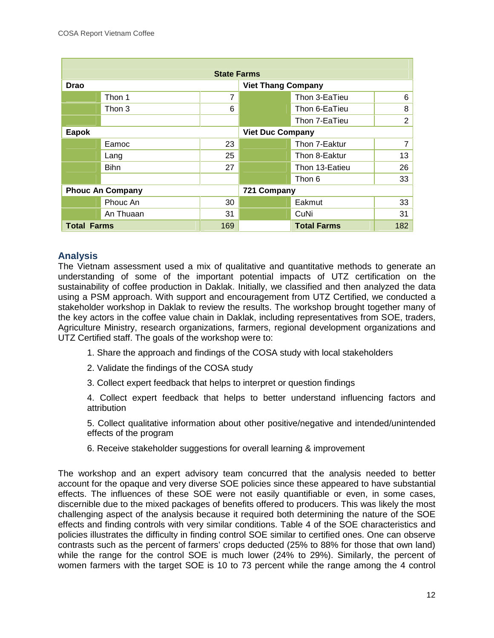| <b>State Farms</b> |                         |     |                           |                    |                |  |  |
|--------------------|-------------------------|-----|---------------------------|--------------------|----------------|--|--|
| <b>Drao</b>        |                         |     | <b>Viet Thang Company</b> |                    |                |  |  |
|                    | Thon 1                  | 7   |                           | Thon 3-EaTieu      | 6              |  |  |
|                    | Thon 3                  | 6   |                           | Thon 6-EaTieu      | 8              |  |  |
|                    |                         |     |                           | Thon 7-EaTieu      | $\overline{2}$ |  |  |
| Eapok              |                         |     | <b>Viet Duc Company</b>   |                    |                |  |  |
|                    | Eamoc                   | 23  |                           | Thon 7-Eaktur      | 7              |  |  |
|                    | Lang                    | 25  |                           | Thon 8-Eaktur      | 13             |  |  |
|                    | <b>Bihn</b>             | 27  |                           | Thon 13-Eatieu     | 26             |  |  |
|                    |                         |     |                           | Thon 6             | 33             |  |  |
|                    | <b>Phouc An Company</b> |     | 721 Company               |                    |                |  |  |
|                    | Phouc An                | 30  |                           | Eakmut             | 33             |  |  |
|                    | An Thuaan               | 31  |                           | CuNi               | 31             |  |  |
| <b>Total Farms</b> |                         | 169 |                           | <b>Total Farms</b> | 182            |  |  |

## **Analysis**

The Vietnam assessment used a mix of qualitative and quantitative methods to generate an understanding of some of the important potential impacts of UTZ certification on the sustainability of coffee production in Daklak. Initially, we classified and then analyzed the data using a PSM approach. With support and encouragement from UTZ Certified, we conducted a stakeholder workshop in Daklak to review the results. The workshop brought together many of the key actors in the coffee value chain in Daklak, including representatives from SOE, traders, Agriculture Ministry, research organizations, farmers, regional development organizations and UTZ Certified staff. The goals of the workshop were to:

- 1. Share the approach and findings of the COSA study with local stakeholders
- 2. Validate the findings of the COSA study
- 3. Collect expert feedback that helps to interpret or question findings

4. Collect expert feedback that helps to better understand influencing factors and attribution

5. Collect qualitative information about other positive/negative and intended/unintended effects of the program

6. Receive stakeholder suggestions for overall learning & improvement

The workshop and an expert advisory team concurred that the analysis needed to better account for the opaque and very diverse SOE policies since these appeared to have substantial effects. The influences of these SOE were not easily quantifiable or even, in some cases, discernible due to the mixed packages of benefits offered to producers. This was likely the most challenging aspect of the analysis because it required both determining the nature of the SOE effects and finding controls with very similar conditions. Table 4 of the SOE characteristics and policies illustrates the difficulty in finding control SOE similar to certified ones. One can observe contrasts such as the percent of farmers' crops deducted (25% to 88% for those that own land) while the range for the control SOE is much lower (24% to 29%). Similarly, the percent of women farmers with the target SOE is 10 to 73 percent while the range among the 4 control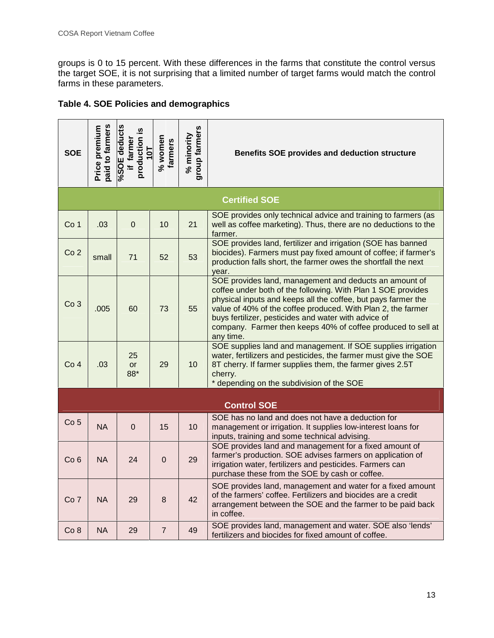groups is 0 to 15 percent. With these differences in the farms that constitute the control versus the target SOE, it is not surprising that a limited number of target farms would match the control farms in these parameters.

| Table 4. SOE Policies and demographics |  |
|----------------------------------------|--|
|----------------------------------------|--|

| <b>SOE</b>      | paid to farmers<br>Price premium | %SOE deducts<br>production is<br>if farmer<br>10T | % women<br>farmers | group farmers<br>% minority | Benefits SOE provides and deduction structure                                                                                                                                                                                                                                                                                                                                                |  |
|-----------------|----------------------------------|---------------------------------------------------|--------------------|-----------------------------|----------------------------------------------------------------------------------------------------------------------------------------------------------------------------------------------------------------------------------------------------------------------------------------------------------------------------------------------------------------------------------------------|--|
|                 |                                  |                                                   |                    |                             | <b>Certified SOE</b>                                                                                                                                                                                                                                                                                                                                                                         |  |
| Co <sub>1</sub> | .03                              | $\overline{0}$                                    | 10                 | 21                          | SOE provides only technical advice and training to farmers (as<br>well as coffee marketing). Thus, there are no deductions to the<br>farmer.                                                                                                                                                                                                                                                 |  |
| Co <sub>2</sub> | small                            | 71                                                | 52                 | 53                          | SOE provides land, fertilizer and irrigation (SOE has banned<br>biocides). Farmers must pay fixed amount of coffee; if farmer's<br>production falls short, the farmer owes the shortfall the next<br>year.                                                                                                                                                                                   |  |
| Co <sub>3</sub> | .005                             | 60                                                | 73                 | 55                          | SOE provides land, management and deducts an amount of<br>coffee under both of the following. With Plan 1 SOE provides<br>physical inputs and keeps all the coffee, but pays farmer the<br>value of 40% of the coffee produced. With Plan 2, the farmer<br>buys fertilizer, pesticides and water with advice of<br>company. Farmer then keeps 40% of coffee produced to sell at<br>any time. |  |
| Co <sub>4</sub> | .03                              | 25<br>or<br>88*                                   | 29                 | 10                          | SOE supplies land and management. If SOE supplies irrigation<br>water, fertilizers and pesticides, the farmer must give the SOE<br>8T cherry. If farmer supplies them, the farmer gives 2.5T<br>cherry.<br>depending on the subdivision of the SOE                                                                                                                                           |  |
|                 |                                  |                                                   |                    |                             | <b>Control SOE</b>                                                                                                                                                                                                                                                                                                                                                                           |  |
| Co <sub>5</sub> | <b>NA</b>                        | $\overline{0}$                                    | 15                 | 10                          | SOE has no land and does not have a deduction for<br>management or irrigation. It supplies low-interest loans for<br>inputs, training and some technical advising.                                                                                                                                                                                                                           |  |
| Co <sub>6</sub> | <b>NA</b>                        | 24                                                | $\mathbf 0$        | 29                          | SOE provides land and management for a fixed amount of<br>farmer's production. SOE advises farmers on application of<br>irrigation water, fertilizers and pesticides. Farmers can<br>purchase these from the SOE by cash or coffee.                                                                                                                                                          |  |
| Co <sub>7</sub> | <b>NA</b>                        | 29                                                | 8                  | 42                          | SOE provides land, management and water for a fixed amount<br>of the farmers' coffee. Fertilizers and biocides are a credit<br>arrangement between the SOE and the farmer to be paid back<br>in coffee.                                                                                                                                                                                      |  |
| Co 8            | <b>NA</b>                        | 29                                                | $\overline{7}$     | 49                          | SOE provides land, management and water. SOE also 'lends'<br>fertilizers and biocides for fixed amount of coffee.                                                                                                                                                                                                                                                                            |  |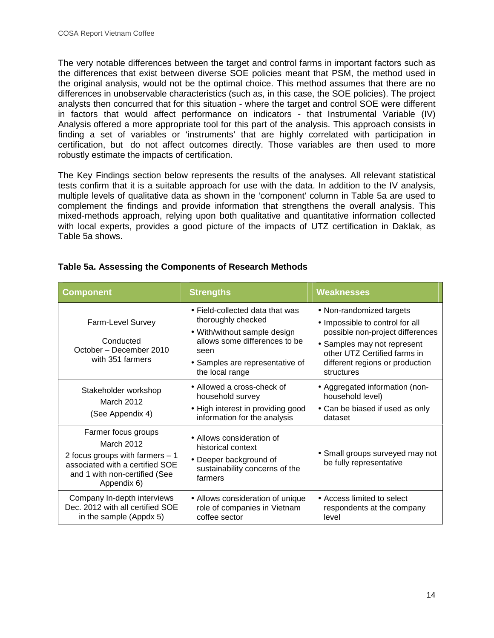The very notable differences between the target and control farms in important factors such as the differences that exist between diverse SOE policies meant that PSM, the method used in the original analysis, would not be the optimal choice. This method assumes that there are no differences in unobservable characteristics (such as, in this case, the SOE policies). The project analysts then concurred that for this situation - where the target and control SOE were different in factors that would affect performance on indicators - that Instrumental Variable (IV) Analysis offered a more appropriate tool for this part of the analysis. This approach consists in finding a set of variables or 'instruments' that are highly correlated with participation in certification, but do not affect outcomes directly. Those variables are then used to more robustly estimate the impacts of certification.

The Key Findings section below represents the results of the analyses. All relevant statistical tests confirm that it is a suitable approach for use with the data. In addition to the IV analysis, multiple levels of qualitative data as shown in the 'component' column in Table 5a are used to complement the findings and provide information that strengthens the overall analysis. This mixed-methods approach, relying upon both qualitative and quantitative information collected with local experts, provides a good picture of the impacts of UTZ certification in Daklak, as Table 5a shows.

| <b>Component</b>                                                                                                                                                                                                                                                                   | <b>Strengths</b>                                                                                                                                                                     | <b>Weaknesses</b>                                                                                                                                                                                               |
|------------------------------------------------------------------------------------------------------------------------------------------------------------------------------------------------------------------------------------------------------------------------------------|--------------------------------------------------------------------------------------------------------------------------------------------------------------------------------------|-----------------------------------------------------------------------------------------------------------------------------------------------------------------------------------------------------------------|
| Farm-Level Survey<br>Conducted<br>October - December 2010<br>with 351 farmers                                                                                                                                                                                                      | • Field-collected data that was<br>thoroughly checked<br>• With/without sample design<br>allows some differences to be<br>seen<br>• Samples are representative of<br>the local range | • Non-randomized targets<br>• Impossible to control for all<br>possible non-project differences<br>• Samples may not represent<br>other UTZ Certified farms in<br>different regions or production<br>structures |
| Stakeholder workshop<br>March 2012<br>(See Appendix 4)                                                                                                                                                                                                                             | • Allowed a cross-check of<br>household survey<br>• High interest in providing good<br>information for the analysis                                                                  | • Aggregated information (non-<br>household level)<br>• Can be biased if used as only<br>dataset                                                                                                                |
| Farmer focus groups<br>• Allows consideration of<br>March 2012<br>historical context<br>2 focus groups with farmers $-1$<br>• Deeper background of<br>associated with a certified SOE<br>sustainability concerns of the<br>and 1 with non-certified (See<br>farmers<br>Appendix 6) |                                                                                                                                                                                      | • Small groups surveyed may not<br>be fully representative                                                                                                                                                      |
| Company In-depth interviews<br>Dec. 2012 with all certified SOE<br>in the sample (Appdx 5)                                                                                                                                                                                         | • Allows consideration of unique<br>role of companies in Vietnam<br>coffee sector                                                                                                    | • Access limited to select<br>respondents at the company<br>level                                                                                                                                               |

#### **Table 5a. Assessing the Components of Research Methods**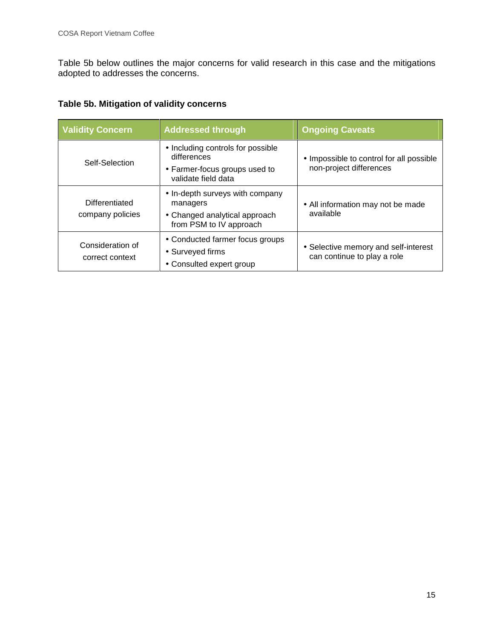Table 5b below outlines the major concerns for valid research in this case and the mitigations adopted to addresses the concerns.

# **Table 5b. Mitigation of validity concerns**

| <b>Validity Concern</b>                                                                                                                                                                                                                                                 | <b>Addressed through</b>                                                                                 | <b>Ongoing Caveats</b>                                              |  |
|-------------------------------------------------------------------------------------------------------------------------------------------------------------------------------------------------------------------------------------------------------------------------|----------------------------------------------------------------------------------------------------------|---------------------------------------------------------------------|--|
| Self-Selection                                                                                                                                                                                                                                                          | • Including controls for possible<br>differences<br>• Farmer-focus groups used to<br>validate field data | • Impossible to control for all possible<br>non-project differences |  |
| • In-depth surveys with company<br>Differentiated<br>managers<br>company policies<br>• Changed analytical approach<br>from PSM to IV approach<br>• Conducted farmer focus groups<br>Consideration of<br>• Surveyed firms<br>correct context<br>• Consulted expert group |                                                                                                          | • All information may not be made<br>available                      |  |
|                                                                                                                                                                                                                                                                         |                                                                                                          | • Selective memory and self-interest<br>can continue to play a role |  |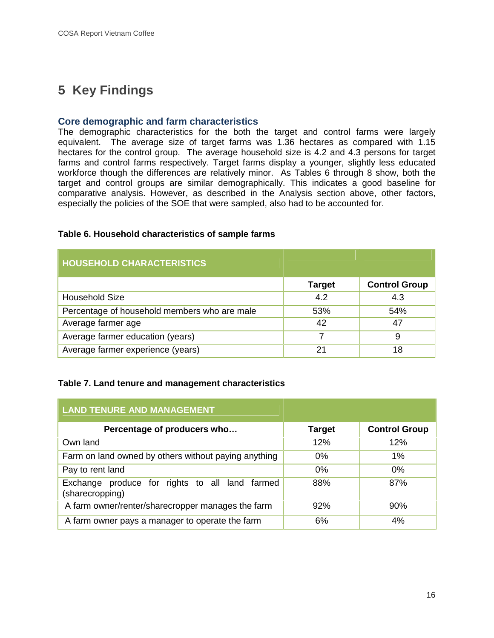# **5 Key Findings**

### **Core demographic and farm characteristics**

The demographic characteristics for the both the target and control farms were largely equivalent. The average size of target farms was 1.36 hectares as compared with 1.15 hectares for the control group. The average household size is 4.2 and 4.3 persons for target farms and control farms respectively. Target farms display a younger, slightly less educated workforce though the differences are relatively minor. As Tables 6 through 8 show, both the target and control groups are similar demographically. This indicates a good baseline for comparative analysis. However, as described in the Analysis section above, other factors, especially the policies of the SOE that were sampled, also had to be accounted for.

#### **Table 6. Household characteristics of sample farms**

| <b>HOUSEHOLD CHARACTERISTICS</b>             |               |                      |  |  |  |  |  |
|----------------------------------------------|---------------|----------------------|--|--|--|--|--|
|                                              | <b>Target</b> | <b>Control Group</b> |  |  |  |  |  |
| <b>Household Size</b>                        | 4.2           | 4.3                  |  |  |  |  |  |
| Percentage of household members who are male | 53%           | 54%                  |  |  |  |  |  |
| Average farmer age                           | 42            | 47                   |  |  |  |  |  |
| Average farmer education (years)             | 7             | 9                    |  |  |  |  |  |
| Average farmer experience (years)            | 21            | 18                   |  |  |  |  |  |

#### **Table 7. Land tenure and management characteristics**

| <b>LAND TENURE AND MANAGEMENT</b>                                 |               |                      |  |  |  |  |  |
|-------------------------------------------------------------------|---------------|----------------------|--|--|--|--|--|
| Percentage of producers who                                       | <b>Target</b> | <b>Control Group</b> |  |  |  |  |  |
| Own land                                                          | 12%           | 12%                  |  |  |  |  |  |
| Farm on land owned by others without paying anything              | 0%            | $1\%$                |  |  |  |  |  |
| Pay to rent land                                                  | 0%            | 0%                   |  |  |  |  |  |
| Exchange produce for rights to all land farmed<br>(sharecropping) | 88%           | 87%                  |  |  |  |  |  |
| A farm owner/renter/sharecropper manages the farm                 | 92%           | 90%                  |  |  |  |  |  |
| A farm owner pays a manager to operate the farm                   | 6%            | 4%                   |  |  |  |  |  |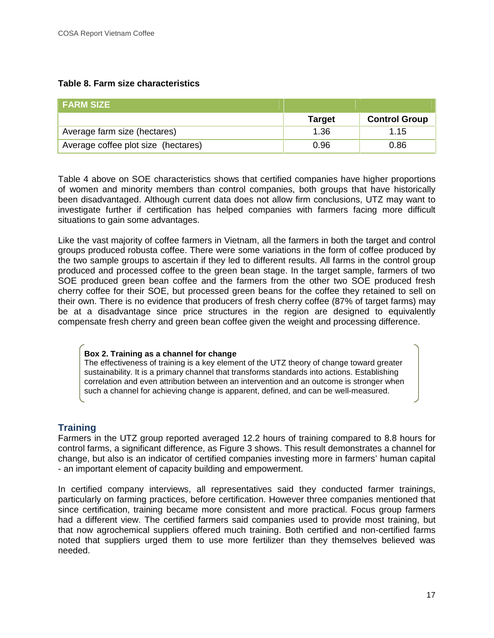### **Table 8. Farm size characteristics**

| ∣ FARM SIZE⊣                        |               |                      |  |  |  |
|-------------------------------------|---------------|----------------------|--|--|--|
|                                     | <b>Target</b> | <b>Control Group</b> |  |  |  |
| Average farm size (hectares)        | 1.36          | 1.15                 |  |  |  |
| Average coffee plot size (hectares) | 0.96          | 0.86                 |  |  |  |

Table 4 above on SOE characteristics shows that certified companies have higher proportions of women and minority members than control companies, both groups that have historically been disadvantaged. Although current data does not allow firm conclusions, UTZ may want to investigate further if certification has helped companies with farmers facing more difficult situations to gain some advantages.

Like the vast majority of coffee farmers in Vietnam, all the farmers in both the target and control groups produced robusta coffee. There were some variations in the form of coffee produced by the two sample groups to ascertain if they led to different results. All farms in the control group produced and processed coffee to the green bean stage. In the target sample, farmers of two SOE produced green bean coffee and the farmers from the other two SOE produced fresh cherry coffee for their SOE, but processed green beans for the coffee they retained to sell on their own. There is no evidence that producers of fresh cherry coffee (87% of target farms) may be at a disadvantage since price structures in the region are designed to equivalently compensate fresh cherry and green bean coffee given the weight and processing difference.

#### **Box 2. Training as a channel for change**

The effectiveness of training is a key element of the UTZ theory of change toward greater sustainability. It is a primary channel that transforms standards into actions. Establishing correlation and even attribution between an intervention and an outcome is stronger when such a channel for achieving change is apparent, defined, and can be well-measured.

## **Training**

Farmers in the UTZ group reported averaged 12.2 hours of training compared to 8.8 hours for control farms, a significant difference, as Figure 3 shows. This result demonstrates a channel for change, but also is an indicator of certified companies investing more in farmers' human capital - an important element of capacity building and empowerment.

In certified company interviews, all representatives said they conducted farmer trainings, particularly on farming practices, before certification. However three companies mentioned that since certification, training became more consistent and more practical. Focus group farmers had a different view. The certified farmers said companies used to provide most training, but that now agrochemical suppliers offered much training. Both certified and non-certified farms noted that suppliers urged them to use more fertilizer than they themselves believed was needed.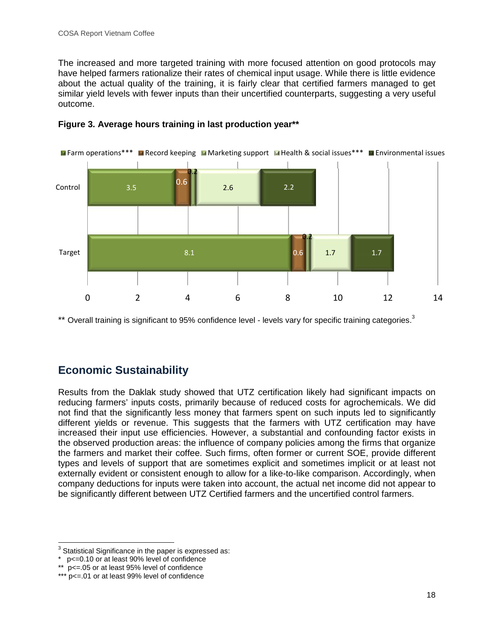The increased and more targeted training with more focused attention on good protocols may have helped farmers rationalize their rates of chemical input usage. While there is little evidence about the actual quality of the training, it is fairly clear that certified farmers managed to get similar yield levels with fewer inputs than their uncertified counterparts, suggesting a very useful outcome.



# **Figure 3. Average hours training in last production year\*\***

\*\* Overall training is significant to 95% confidence level - levels vary for specific training categories. $3$ 

# **Economic Sustainability**

Results from the Daklak study showed that UTZ certification likely had significant impacts on reducing farmers' inputs costs, primarily because of reduced costs for agrochemicals. We did not find that the significantly less money that farmers spent on such inputs led to significantly different yields or revenue. This suggests that the farmers with UTZ certification may have increased their input use efficiencies. However, a substantial and confounding factor exists in the observed production areas: the influence of company policies among the firms that organize the farmers and market their coffee. Such firms, often former or current SOE, provide different types and levels of support that are sometimes explicit and sometimes implicit or at least not externally evident or consistent enough to allow for a like-to-like comparison. Accordingly, when company deductions for inputs were taken into account, the actual net income did not appear to be significantly different between UTZ Certified farmers and the uncertified control farmers.

 $3$  Statistical Significance in the paper is expressed as:

<sup>\*</sup> p<=0.10 or at least 90% level of confidence

<sup>\*\*</sup> p<=.05 or at least 95% level of confidence

<sup>\*\*\*</sup> p<=.01 or at least 99% level of confidence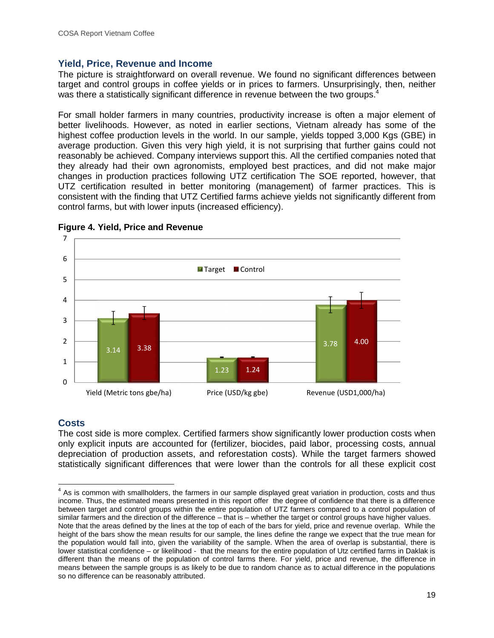### **Yield, Price, Revenue and Income**

The picture is straightforward on overall revenue. We found no significant differences between target and control groups in coffee yields or in prices to farmers. Unsurprisingly, then, neither was there a statistically significant difference in revenue between the two groups.

For small holder farmers in many countries, productivity increase is often a major element of better livelihoods. However, as noted in earlier sections, Vietnam already has some of the highest coffee production levels in the world. In our sample, yields topped 3,000 Kgs (GBE) in average production. Given this very high yield, it is not surprising that further gains could not reasonably be achieved. Company interviews support this. All the certified companies noted that they already had their own agronomists, employed best practices, and did not make major changes in production practices following UTZ certification The SOE reported, however, that UTZ certification resulted in better monitoring (management) of farmer practices. This is consistent with the finding that UTZ Certified farms achieve yields not significantly different from control farms, but with lower inputs (increased efficiency).





# **Costs**

The cost side is more complex. Certified farmers show significantly lower production costs when only explicit inputs are accounted for (fertilizer, biocides, paid labor, processing costs, annual depreciation of production assets, and reforestation costs). While the target farmers showed statistically significant differences that were lower than the controls for all these explicit cost

 $4$  As is common with smallholders, the farmers in our sample displayed great variation in production, costs and thus income. Thus, the estimated means presented in this report offer the degree of confidence that there is a difference between target and control groups within the entire population of UTZ farmers compared to a control population of similar farmers and the direction of the difference – that is – whether the target or control groups have higher values.

Note that the areas defined by the lines at the top of each of the bars for yield, price and revenue overlap. While the height of the bars show the mean results for our sample, the lines define the range we expect that the true mean for the population would fall into, given the variability of the sample. When the area of overlap is substantial, there is lower statistical confidence – or likelihood - that the means for the entire population of Utz certified farms in Daklak is different than the means of the population of control farms there. For yield, price and revenue, the difference in means between the sample groups is as likely to be due to random chance as to actual difference in the populations so no difference can be reasonably attributed.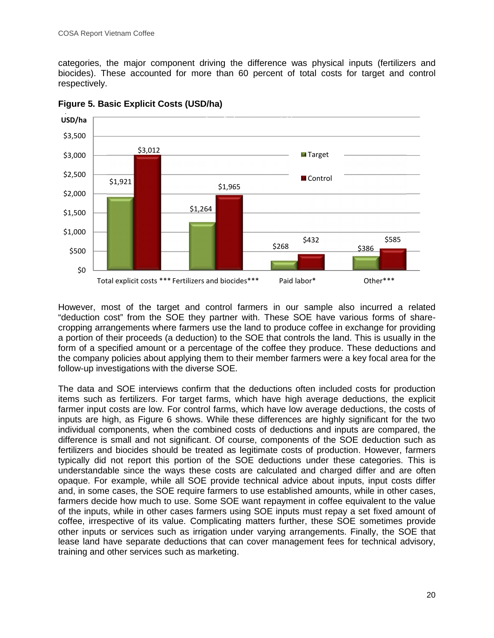categories, the major component driving the difference was physical inputs (fertilizers and biocides). These accounted for more than 60 percent of total costs for target and control respectively.



**Figure 5. Basic Explicit Costs (USD/ha)**

However, most of the target and control farmers in our sample also incurred a related "deduction cost" from the SOE they partner with. These SOE have various forms of share cropping arrangements where farmers use the land to produce coffee in exchange for providing a portion of their proceeds (a deduction) to the SOE that controls the land. This is usually in the form of a specified amount or a percentage of the coffee they produce. These deductions and the company policies about applying them to their member farmers were a key focal area for the follow-up investigations with the diverse SOE.

The data and SOE interviews confirm that the deductions often included costs for production items such as fertilizers. For target farms, which have high average deductions, the explicit farmer input costs are low. For control farms, which have low average deductions, the costs of inputs are high, as Figure 6 shows. While these differences are highly significant for the two individual components, when the combined costs of deductions and inputs are compared, the difference is small and not significant. Of course, components of the SOE deduction such as fertilizers and biocides should be treated as legitimate costs of production. However, farmers typically did not report this portion of the SOE deductions under these categories. This is understandable since the ways these costs are calculated and charged differ and are often opaque. For example, while all SOE provide technical advice about inputs, input costs differ and, in some cases, the SOE require farmers to use established amounts, while in other cases, farmers decide how much to use. Some SOE want repayment in coffee equivalent to the value of the inputs, while in other cases farmers using SOE inputs must repay a set fixed amount of coffee, irrespective of its value. Complicating matters further, these SOE sometimes provide other inputs or services such as irrigation under varying arrangements. Finally, the SOE that lease land have separate deductions that can cover management fees for technical advisory, training and other services such as marketing.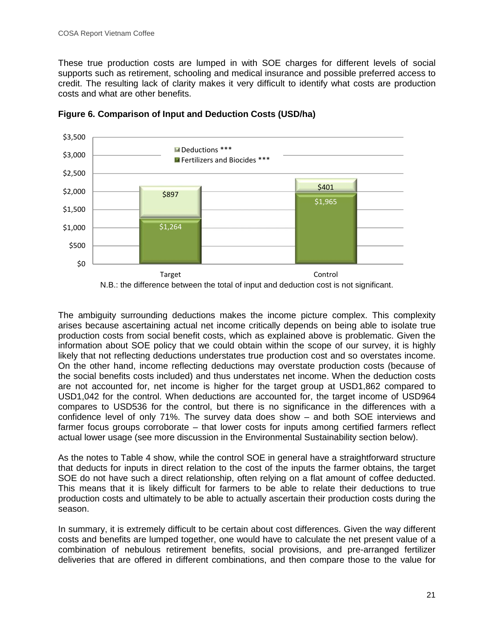These true production costs are lumped in with SOE charges for different levels of social supports such as retirement, schooling and medical insurance and possible preferred access to credit. The resulting lack of clarity makes it very difficult to identify what costs are production costs and what are other benefits.



**Figure 6. Comparison of Input and Deduction Costs (USD/ha)**

N.B.: the difference between the total of input and deduction cost is not significant.

The ambiguity surrounding deductions makes the income picture complex. This complexity arises because ascertaining actual net income critically depends on being able to isolate true production costs from social benefit costs, which as explained above is problematic. Given the information about SOE policy that we could obtain within the scope of our survey, it is highly likely that not reflecting deductions understates true production cost and so overstates income. On the other hand, income reflecting deductions may overstate production costs (because of the social benefits costs included) and thus understates net income. When the deduction costs are not accounted for, net income is higher for the target group at USD1,862 compared to USD1,042 for the control. When deductions are accounted for, the target income of USD964 compares to USD536 for the control, but there is no significance in the differences with a confidence level of only 71%. The survey data does show – and both SOE interviews and farmer focus groups corroborate – that lower costs for inputs among certified farmers reflect actual lower usage (see more discussion in the Environmental Sustainability section below).

As the notes to Table 4 show, while the control SOE in general have a straightforward structure that deducts for inputs in direct relation to the cost of the inputs the farmer obtains, the target SOE do not have such a direct relationship, often relying on a flat amount of coffee deducted. This means that it is likely difficult for farmers to be able to relate their deductions to true production costs and ultimately to be able to actually ascertain their production costs during the season.

In summary, it is extremely difficult to be certain about cost differences. Given the way different costs and benefits are lumped together, one would have to calculate the net present value of a combination of nebulous retirement benefits, social provisions, and pre-arranged fertilizer deliveries that are offered in different combinations, and then compare those to the value for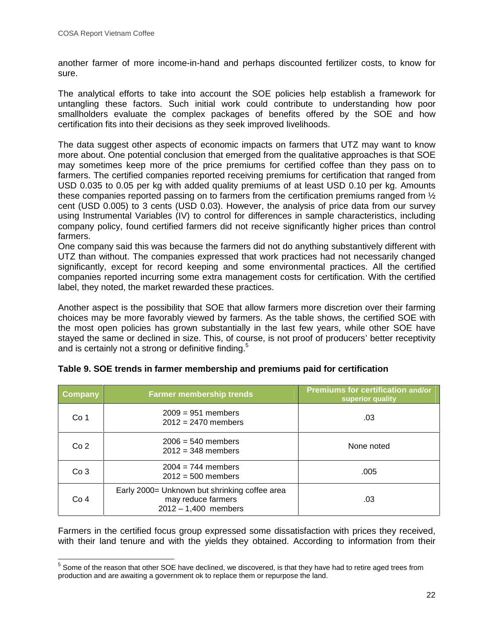another farmer of more income-in-hand and perhaps discounted fertilizer costs, to know for sure.

The analytical efforts to take into account the SOE policies help establish a framework for untangling these factors. Such initial work could contribute to understanding how poor smallholders evaluate the complex packages of benefits offered by the SOE and how certification fits into their decisions as they seek improved livelihoods.

The data suggest other aspects of economic impacts on farmers that UTZ may want to know more about. One potential conclusion that emerged from the qualitative approaches is that SOE may sometimes keep more of the price premiums for certified coffee than they pass on to farmers. The certified companies reported receiving premiums for certification that ranged from USD 0.035 to 0.05 per kg with added quality premiums of at least USD 0.10 per kg. Amounts these companies reported passing on to farmers from the certification premiums ranged from  $\frac{1}{2}$ cent (USD 0.005) to 3 cents (USD 0.03). However, the analysis of price data from our survey using Instrumental Variables (IV) to control for differences in sample characteristics, including company policy, found certified farmers did not receive significantly higher prices than control farmers.

One company said this was because the farmers did not do anything substantively different with UTZ than without. The companies expressed that work practices had not necessarily changed significantly, except for record keeping and some environmental practices. All the certified companies reported incurring some extra management costs for certification. With the certified label, they noted, the market rewarded these practices.

Another aspect is the possibility that SOE that allow farmers more discretion over their farming choices may be more favorably viewed by farmers. As the table shows, the certified SOE with the most open policies has grown substantially in the last few years, while other SOE have stayed the same or declined in size. This, of course, is not proof of producers' better receptivity and is certainly not a strong or definitive finding.<sup>5</sup>

| <b>Company</b>  | <b>Farmer membership trends</b>                                                               | <b>Premiums for certification and/or</b><br>superior quality |
|-----------------|-----------------------------------------------------------------------------------------------|--------------------------------------------------------------|
| Co <sub>1</sub> | $2009 = 951$ members<br>$2012 = 2470$ members                                                 | .03                                                          |
| Co <sub>2</sub> | $2006 = 540$ members<br>$2012 = 348$ members                                                  | None noted                                                   |
| Co <sub>3</sub> | $2004 = 744$ members<br>$2012 = 500$ members                                                  | .005                                                         |
| Co <sub>4</sub> | Early 2000= Unknown but shrinking coffee area<br>may reduce farmers<br>$2012 - 1,400$ members | .03                                                          |

| Table 9. SOE trends in farmer membership and premiums paid for certification |  |
|------------------------------------------------------------------------------|--|
|------------------------------------------------------------------------------|--|

Farmers in the certified focus group expressed some dissatisfaction with prices they received, with their land tenure and with the yields they obtained. According to information from their

<sup>&</sup>lt;sup>5</sup> Some of the reason that other SOE have declined, we discovered, is that they have had to retire aged trees from production and are awaiting a government ok to replace them or repurpose the land.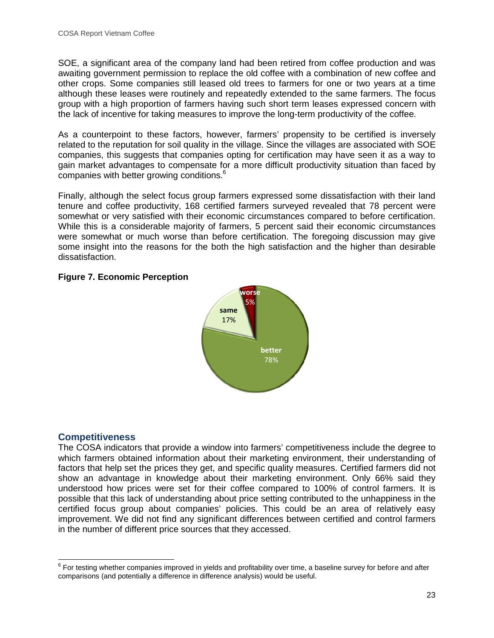SOE, a significant area of the company land had been retired from coffee production and was awaiting government permission to replace the old coffee with a combination of new coffee and other crops. Some companies still leased old trees to farmers for one or two years at a time although these leases were routinely and repeatedly extended to the same farmers. The focus group with a high proportion of farmers having such short term leases expressed concern with the lack of incentive for taking measures to improve the long-term productivity of the coffee.

As a counterpoint to these factors, however, farmers' propensity to be certified is inversely related to the reputation for soil quality in the village. Since the villages are associated with SOE companies, this suggests that companies opting for certification may have seen it as a way to gain market advantages to compensate for a more difficult productivity situation than faced by companies with better growing conditions.<sup>6</sup>

Finally, although the select focus group farmers expressed some dissatisfaction with their land tenure and coffee productivity, 168 certified farmers surveyed revealed that 78 percent were somewhat or very satisfied with their economic circumstances compared to before certification. While this is a considerable majority of farmers, 5 percent said their economic circumstances were somewhat or much worse than before certification. The foregoing discussion may give some insight into the reasons for the both the high satisfaction and the higher than desirable dissatisfaction.

# **Figure 7. Economic Perception**



# **Competitiveness**

The COSA indicators that provide a window into farmers' competitiveness include the degree to which farmers obtained information about their marketing environment, their understanding of factors that help set the prices they get, and specific quality measures. Certified farmers did not show an advantage in knowledge about their marketing environment. Only 66% said they understood how prices were set for their coffee compared to 100% of control farmers. It is possible that this lack of understanding about price setting contributed to the unhappiness in the certified focus group about companies' policies. This could be an area of relatively easy improvement. We did not find any significant differences between certified and control farmers in the number of different price sources that they accessed.

 $6$  For testing whether companies improved in yields and profitability over time, a baseline survey for before and after comparisons (and potentially a difference in difference analysis) would be useful.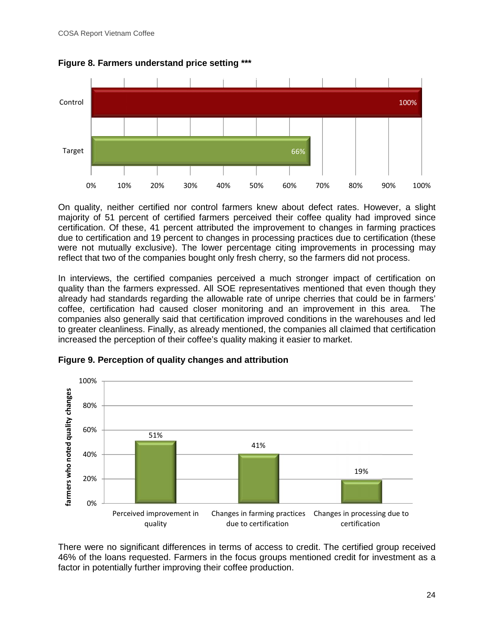

**Figure 8. Farmers understand price setting \*\*\***

On quality, neither certified nor control farmers knew about defect rates. However, a slight majority of 51 percent of certified farmers perceived their coffee quality had improved since certification. Of these, 41 percent attributed the improvement to changes in farming practices due to certification and 19 percent to changes in processing practices due to certification (these were not mutually exclusive). The lower percentage citing improvements in processing may reflect that two of the companies bought only fresh cherry, so the farmers did not process.

In interviews, the certified companies perceived a much stronger impact of certification on quality than the farmers expressed. All SOE representatives mentioned that even though they already had standards regarding the allowable rate of unripe cherries that could be in farmers' coffee, certification had caused closer monitoring and an improvement in this area. The companies also generally said that certification improved conditions in the warehouses and led to greater cleanliness. Finally, as already mentioned, the companies all claimed that certification increased the perception of their coffee's quality making it easier to market.



**Figure 9. Perception of quality changes and attribution**

There were no significant differences in terms of access to credit. The certified group received 46% of the loans requested. Farmers in the focus groups mentioned credit for investment as a factor in potentially further improving their coffee production.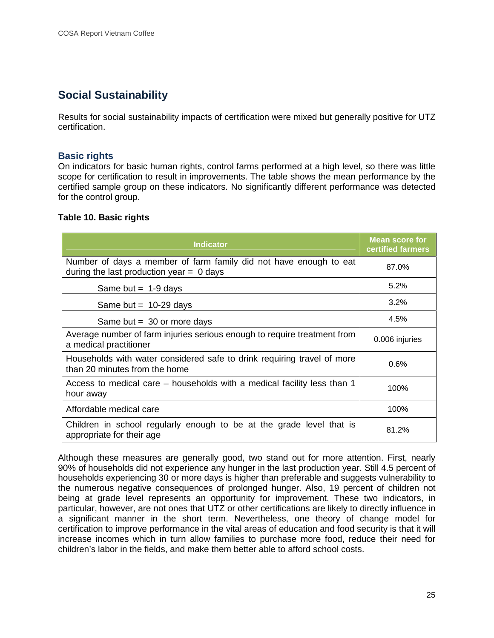# **Social Sustainability**

Results for social sustainability impacts of certification were mixed but generally positive for UTZ certification.

## **Basic rights**

On indicators for basic human rights, control farms performed at a high level, so there was little scope for certification to result in improvements. The table shows the mean performance by the certified sample group on these indicators. No significantly different performance was detected for the control group.

#### **Table 10. Basic rights**

| <b>Indicator</b>                                                                                                | <b>Mean score for</b><br>certified farmers |
|-----------------------------------------------------------------------------------------------------------------|--------------------------------------------|
| Number of days a member of farm family did not have enough to eat<br>during the last production year $= 0$ days | 87.0%                                      |
| Same but = $1-9$ days                                                                                           | 5.2%                                       |
| Same but = $10-29$ days                                                                                         | 3.2%                                       |
| Same but = $30$ or more days                                                                                    | 4.5%                                       |
| Average number of farm injuries serious enough to require treatment from<br>a medical practitioner              | 0.006 injuries                             |
| Households with water considered safe to drink requiring travel of more<br>than 20 minutes from the home        | 0.6%                                       |
| Access to medical care – households with a medical facility less than 1<br>hour away                            | 100%                                       |
| Affordable medical care                                                                                         | 100%                                       |
| Children in school regularly enough to be at the grade level that is<br>appropriate for their age               | 81.2%                                      |

Although these measures are generally good, two stand out for more attention. First, nearly 90% of households did not experience any hunger in the last production year. Still 4.5 percent of households experiencing 30 or more days is higher than preferable and suggests vulnerability to the numerous negative consequences of prolonged hunger. Also, 19 percent of children not being at grade level represents an opportunity for improvement. These two indicators, in particular, however, are not ones that UTZ or other certifications are likely to directly influence in a significant manner in the short term. Nevertheless, one theory of change model for certification to improve performance in the vital areas of education and food security is that it will increase incomes which in turn allow families to purchase more food, reduce their need for children's labor in the fields, and make them better able to afford school costs.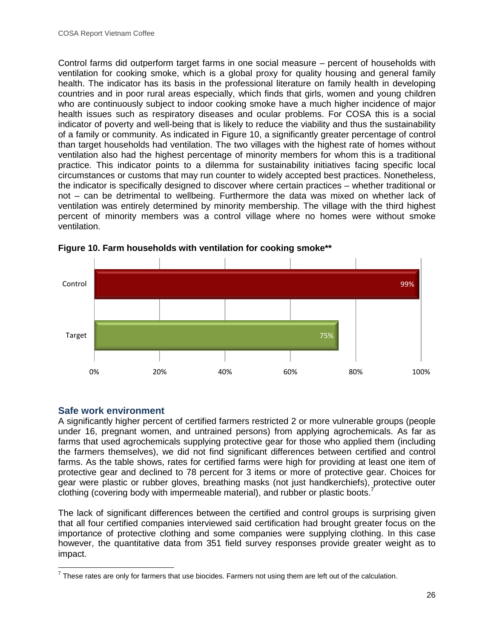Control farms did outperform target farms in one social measure – percent of households with ventilation for cooking smoke, which is a global proxy for quality housing and general family health. The indicator has its basis in the professional literature on family health in developing countries and in poor rural areas especially, which finds that girls, women and young children who are continuously subject to indoor cooking smoke have a much higher incidence of major health issues such as respiratory diseases and ocular problems. For COSA this is a social indicator of poverty and well-being that is likely to reduce the viability and thus the sustainability of a family or community. As indicated in Figure 10, a significantly greater percentage of control than target households had ventilation. The two villages with the highest rate of homes without ventilation also had the highest percentage of minority members for whom this is a traditional practice. This indicator points to a dilemma for sustainability initiatives facing specific local circumstances or customs that may run counter to widely accepted best practices. Nonetheless, the indicator is specifically designed to discover where certain practices – whether traditional or not – can be detrimental to wellbeing. Furthermore the data was mixed on whether lack of ventilation was entirely determined by minority membership. The village with the third highest percent of minority members was a control village where no homes were without smoke ventilation.





# **Safe work environment**

A significantly higher percent of certified farmers restricted 2 or more vulnerable groups (people under 16, pregnant women, and untrained persons) from applying agrochemicals. As far as farms that used agrochemicals supplying protective gear for those who applied them (including the farmers themselves), we did not find significant differences between certified and control farms. As the table shows, rates for certified farms were high for providing at least one item of protective gear and declined to 78 percent for 3 items or more of protective gear. Choices for gear were plastic or rubber gloves, breathing masks (not just handkerchiefs), protective outer clothing (covering body with impermeable material), and rubber or plastic boots.<sup>7</sup>

The lack of significant differences between the certified and control groups is surprising given that all four certified companies interviewed said certification had brought greater focus on the importance of protective clothing and some companies were supplying clothing. In this case however, the quantitative data from 351 field survey responses provide greater weight as to impact.

 $<sup>7</sup>$  These rates are only for farmers that use biocides. Farmers not using them are left out of the calculation.</sup>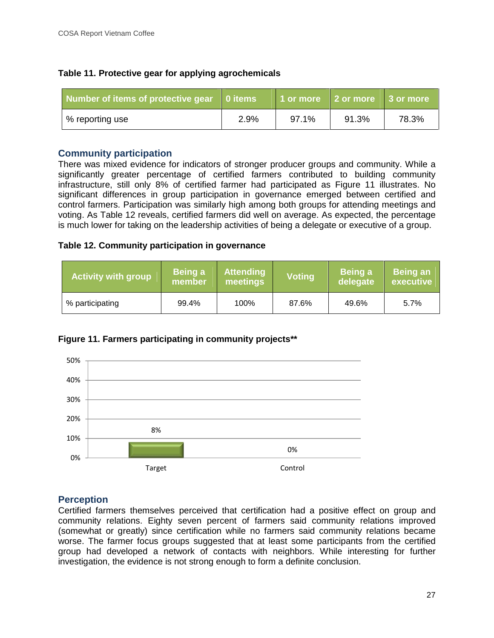| Table 11. Protective gear for applying agrochemicals |  |
|------------------------------------------------------|--|
|------------------------------------------------------|--|

| Number of items of protective gear   0 items |      | 1 or more   2 or more   3 or more |       |       |
|----------------------------------------------|------|-----------------------------------|-------|-------|
| % reporting use                              | 2.9% | 97.1%                             | 91.3% | 78.3% |

## **Community participation**

There was mixed evidence for indicators of stronger producer groups and community. While a significantly greater percentage of certified farmers contributed to building community infrastructure, still only 8% of certified farmer had participated as Figure 11 illustrates. No significant differences in group participation in governance emerged between certified and control farmers. Participation was similarly high among both groups for attending meetings and voting. As Table 12 reveals, certified farmers did well on average. As expected, the percentage is much lower for taking on the leadership activities of being a delegate or executive of a group.

## **Table 12. Community participation in governance**

| <b>Activity with group</b> | Being a<br>member | <b>Attending</b><br>meetings | <b>Voting</b> |       | <b>Being an</b><br>executive |  |
|----------------------------|-------------------|------------------------------|---------------|-------|------------------------------|--|
| % participating            | 99.4%             | 100%                         | 87.6%         | 49.6% | 5.7%                         |  |





# **Perception**

Certified farmers themselves perceived that certification had a positive effect on group and community relations. Eighty seven percent of farmers said community relations improved (somewhat or greatly) since certification while no farmers said community relations became worse. The farmer focus groups suggested that at least some participants from the certified group had developed a network of contacts with neighbors. While interesting for further investigation, the evidence is not strong enough to form a definite conclusion.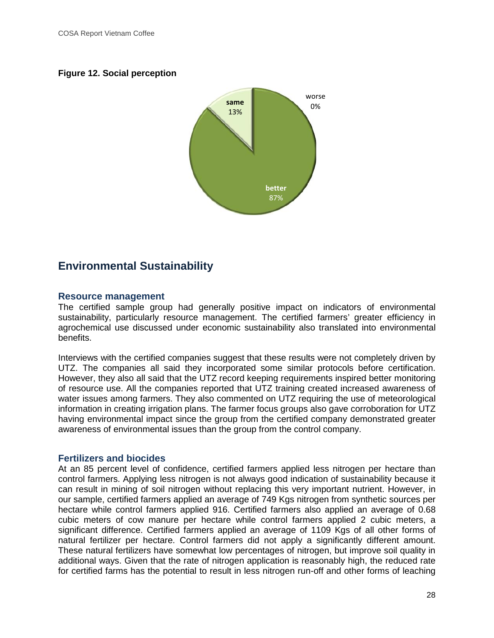## **Figure 12. Social perception**



# **Environmental Sustainability**

#### **Resource management**

The certified sample group had generally positive impact on indicators of environmental sustainability, particularly resource management. The certified farmers' greater efficiency in agrochemical use discussed under economic sustainability also translated into environmental benefits.

Interviews with the certified companies suggest that these results were not completely driven by UTZ. The companies all said they incorporated some similar protocols before certification. However, they also all said that the UTZ record keeping requirements inspired better monitoring of resource use. All the companies reported that UTZ training created increased awareness of water issues among farmers. They also commented on UTZ requiring the use of meteorological information in creating irrigation plans. The farmer focus groups also gave corroboration for UTZ having environmental impact since the group from the certified company demonstrated greater awareness of environmental issues than the group from the control company.

## **Fertilizers and biocides**

At an 85 percent level of confidence, certified farmers applied less nitrogen per hectare than control farmers. Applying less nitrogen is not always good indication of sustainability because it can result in mining of soil nitrogen without replacing this very important nutrient. However, in our sample, certified farmers applied an average of 749 Kgs nitrogen from synthetic sources per hectare while control farmers applied 916. Certified farmers also applied an average of 0.68 cubic meters of cow manure per hectare while control farmers applied 2 cubic meters, a significant difference. Certified farmers applied an average of 1109 Kgs of all other forms of natural fertilizer per hectare. Control farmers did not apply a significantly different amount. These natural fertilizers have somewhat low percentages of nitrogen, but improve soil quality in additional ways. Given that the rate of nitrogen application is reasonably high, the reduced rate for certified farms has the potential to result in less nitrogen run-off and other forms of leaching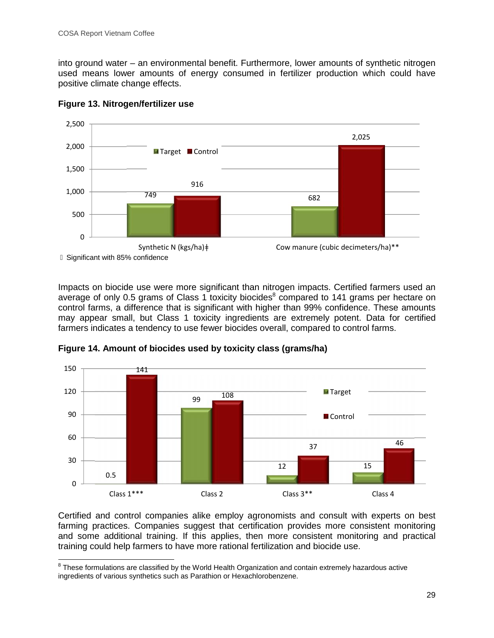into ground water – an environmental benefit. Furthermore, lower amounts of synthetic nitrogen used means lower amounts of energy consumed in fertilizer production which could have positive climate change effects.



#### **Figure 13. Nitrogen/fertilizer use**

Impacts on biocide use were more significant than nitrogen impacts. Certified farmers used an average of only 0.5 grams of Class 1 toxicity biocides<sup>8</sup> compared to 141 grams per hectare on control farms, a difference that is significant with higher than 99% confidence. These amounts may appear small, but Class 1 toxicity ingredients are extremely potent. Data for certified farmers indicates a tendency to use fewer biocides overall, compared to control farms.



**Figure 14. Amount of biocides used by toxicity class (grams/ha)**

Certified and control companies alike employ agronomists and consult with experts on best farming practices. Companies suggest that certification provides more consistent monitoring and some additional training. If this applies, then more consistent monitoring and practical training could help farmers to have more rational fertilization and biocide use.

<sup>&</sup>lt;sup>8</sup> These formulations are classified by the World Health Organization and contain extremely hazardous active ingredients of various synthetics such as Parathion or Hexachlorobenzene.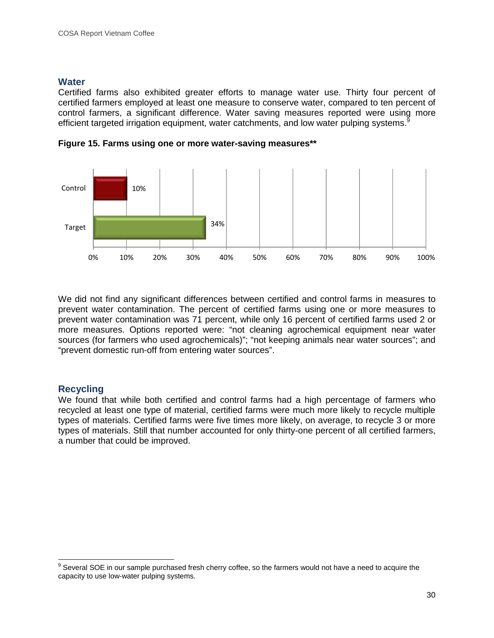## **Water**

Certified farms also exhibited greater efforts to manage water use. Thirty four percent of certified farmers employed at least one measure to conserve water, compared to ten percent of control farmers, a significant difference. Water saving measures reported were using more efficient targeted irrigation equipment, water catchments, and low water pulping systems.<sup>9</sup>



**Figure 15. Farms using one or more water-saving measures\*\***

We did not find any significant differences between certified and control farms in measures to prevent water contamination. The percent of certified farms using one or more measures to prevent water contamination was 71 percent, while only 16 percent of certified farms used 2 or more measures. Options reported were: "not cleaning agrochemical equipment near water sources (for farmers who used agrochemicals)"; "not keeping animals near water sources"; and "prevent domestic run-off from entering water sources".

## **Recycling**

We found that while both certified and control farms had a high percentage of farmers who recycled at least one type of material, certified farms were much more likely to recycle multiple types of materials. Certified farms were five times more likely, on average, to recycle 3 or more types of materials. Still that number accounted for only thirty-one percent of all certified farmers, a number that could be improved.

<sup>&</sup>lt;sup>9</sup> Several SOE in our sample purchased fresh cherry coffee, so the farmers would not have a need to acquire the capacity to use low-water pulping systems.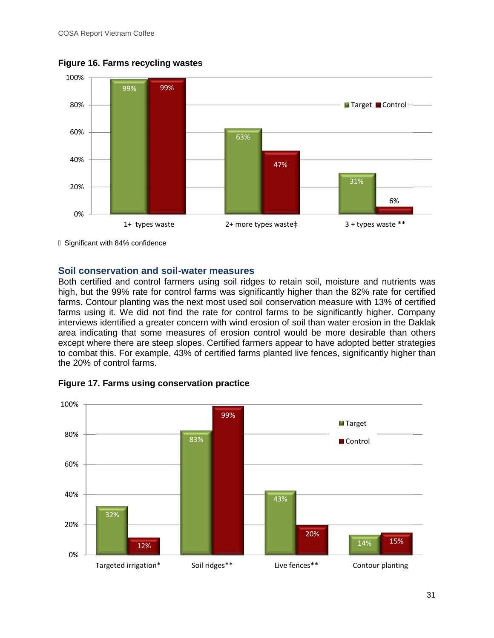

**Figure 16. Farms recycling wastes**

Significant with 84% confidence

## **Soil conservation and soil-water measures**

Both certified and control farmers using soil ridges to retain soil, moisture and nutrients was high, but the 99% rate for control farms was significantly higher than the 82% rate for certified farms. Contour planting was the next most used soil conservation measure with 13% of certified farms using it. We did not find the rate for control farms to be significantly higher. Company interviews identified a greater concern with wind erosion of soil than water erosion in the Daklak area indicating that some measures of erosion control would be more desirable than others except where there are steep slopes. Certified farmers appear to have adopted better strategies to combat this. For example, 43% of certified farms planted live fences, significantly higher than the 20% of control farms.



## **Figure 17. Farms using conservation practice**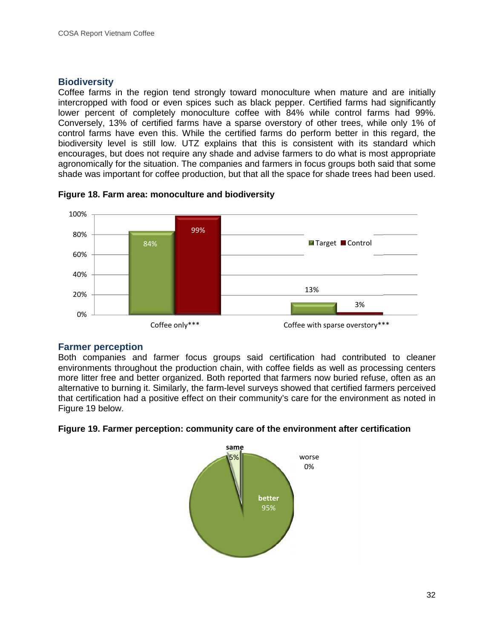# **Biodiversity**

Coffee farms in the region tend strongly toward monoculture when mature and are initially intercropped with food or even spices such as black pepper. Certified farms had significantly lower percent of completely monoculture coffee with 84% while control farms had 99%. Conversely, 13% of certified farms have a sparse overstory of other trees, while only 1% of control farms have even this. While the certified farms do perform better in this regard, the biodiversity level is still low. UTZ explains that this is consistent with its standard which encourages, but does not require any shade and advise farmers to do what is most appropriate agronomically for the situation. The companies and farmers in focus groups both said that some shade was important for coffee production, but that all the space for shade trees had been used.



**Figure 18. Farm area: monoculture and biodiversity**

## **Farmer perception**

Both companies and farmer focus groups said certification had contributed to cleaner environments throughout the production chain, with coffee fields as well as processing centers more litter free and better organized. Both reported that farmers now buried refuse, often as an alternative to burning it. Similarly, the farm-level surveys showed that certified farmers perceived that certification had a positive effect on their community's care for the environment as noted in Figure 19 below.

# **Figure 19. Farmer perception: community care of the environment after certification**

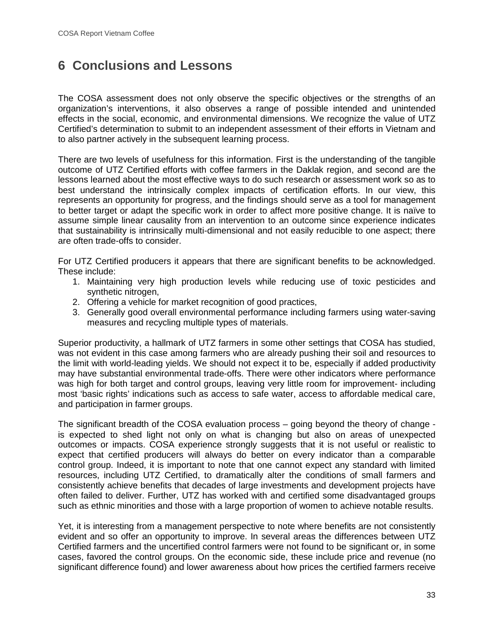# **6 Conclusions and Lessons**

The COSA assessment does not only observe the specific objectives or the strengths of an organization's interventions, it also observes a range of possible intended and unintended effects in the social, economic, and environmental dimensions. We recognize the value of UTZ Certified's determination to submit to an independent assessment of their efforts in Vietnam and to also partner actively in the subsequent learning process.

There are two levels of usefulness for this information. First is the understanding of the tangible outcome of UTZ Certified efforts with coffee farmers in the Daklak region, and second are the lessons learned about the most effective ways to do such research or assessment work so as to best understand the intrinsically complex impacts of certification efforts. In our view, this represents an opportunity for progress, and the findings should serve as a tool for management to better target or adapt the specific work in order to affect more positive change. It is naïve to assume simple linear causality from an intervention to an outcome since experience indicates that sustainability is intrinsically multi-dimensional and not easily reducible to one aspect; there are often trade-offs to consider.

For UTZ Certified producers it appears that there are significant benefits to be acknowledged. These include:

- 1. Maintaining very high production levels while reducing use of toxic pesticides and synthetic nitrogen,
- 2. Offering a vehicle for market recognition of good practices,
- 3. Generally good overall environmental performance including farmers using water-saving measures and recycling multiple types of materials.

Superior productivity, a hallmark of UTZ farmers in some other settings that COSA has studied, was not evident in this case among farmers who are already pushing their soil and resources to the limit with world-leading yields. We should not expect it to be, especially if added productivity may have substantial environmental trade-offs. There were other indicators where performance was high for both target and control groups, leaving very little room for improvement- including most 'basic rights' indications such as access to safe water, access to affordable medical care, and participation in farmer groups.

The significant breadth of the COSA evaluation process – going beyond the theory of change is expected to shed light not only on what is changing but also on areas of unexpected outcomes or impacts. COSA experience strongly suggests that it is not useful or realistic to expect that certified producers will always do better on every indicator than a comparable control group. Indeed, it is important to note that one cannot expect any standard with limited resources, including UTZ Certified, to dramatically alter the conditions of small farmers and consistently achieve benefits that decades of large investments and development projects have often failed to deliver. Further, UTZ has worked with and certified some disadvantaged groups such as ethnic minorities and those with a large proportion of women to achieve notable results.

Yet, it is interesting from a management perspective to note where benefits are not consistently evident and so offer an opportunity to improve. In several areas the differences between UTZ Certified farmers and the uncertified control farmers were not found to be significant or, in some cases, favored the control groups. On the economic side, these include price and revenue (no significant difference found) and lower awareness about how prices the certified farmers receive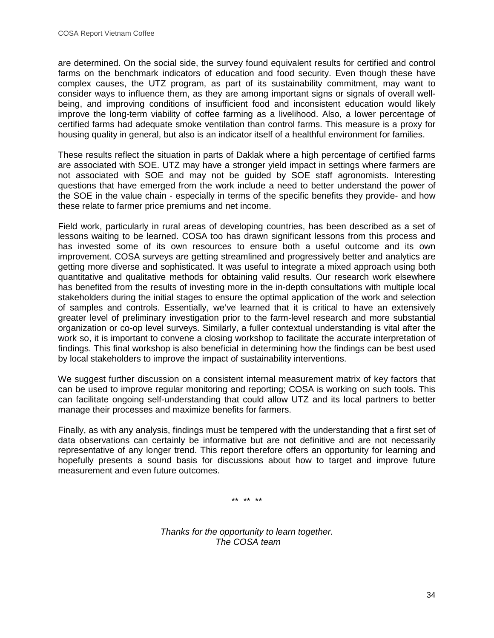are determined. On the social side, the survey found equivalent results for certified and control farms on the benchmark indicators of education and food security. Even though these have complex causes, the UTZ program, as part of its sustainability commitment, may want to consider ways to influence them, as they are among important signs or signals of overall well being, and improving conditions of insufficient food and inconsistent education would likely improve the long-term viability of coffee farming as a livelihood. Also, a lower percentage of certified farms had adequate smoke ventilation than control farms. This measure is a proxy for housing quality in general, but also is an indicator itself of a healthful environment for families.

These results reflect the situation in parts of Daklak where a high percentage of certified farms are associated with SOE. UTZ may have a stronger yield impact in settings where farmers are not associated with SOE and may not be guided by SOE staff agronomists. Interesting questions that have emerged from the work include a need to better understand the power of the SOE in the value chain - especially in terms of the specific benefits they provide- and how these relate to farmer price premiums and net income.

Field work, particularly in rural areas of developing countries, has been described as a set of lessons waiting to be learned. COSA too has drawn significant lessons from this process and has invested some of its own resources to ensure both a useful outcome and its own improvement. COSA surveys are getting streamlined and progressively better and analytics are getting more diverse and sophisticated. It was useful to integrate a mixed approach using both quantitative and qualitative methods for obtaining valid results. Our research work elsewhere has benefited from the results of investing more in the in-depth consultations with multiple local stakeholders during the initial stages to ensure the optimal application of the work and selection of samples and controls. Essentially, we've learned that it is critical to have an extensively greater level of preliminary investigation prior to the farm-level research and more substantial organization or co-op level surveys. Similarly, a fuller contextual understanding is vital after the work so, it is important to convene a closing workshop to facilitate the accurate interpretation of findings. This final workshop is also beneficial in determining how the findings can be best used by local stakeholders to improve the impact of sustainability interventions.

We suggest further discussion on a consistent internal measurement matrix of key factors that can be used to improve regular monitoring and reporting; COSA is working on such tools. This can facilitate ongoing self-understanding that could allow UTZ and its local partners to better manage their processes and maximize benefits for farmers.

Finally, as with any analysis, findings must be tempered with the understanding that a first set of data observations can certainly be informative but are not definitive and are not necessarily representative of any longer trend. This report therefore offers an opportunity for learning and hopefully presents a sound basis for discussions about how to target and improve future measurement and even future outcomes.

\*\* \*\* \*\*

*Thanks for the opportunity to learn together. The COSA team*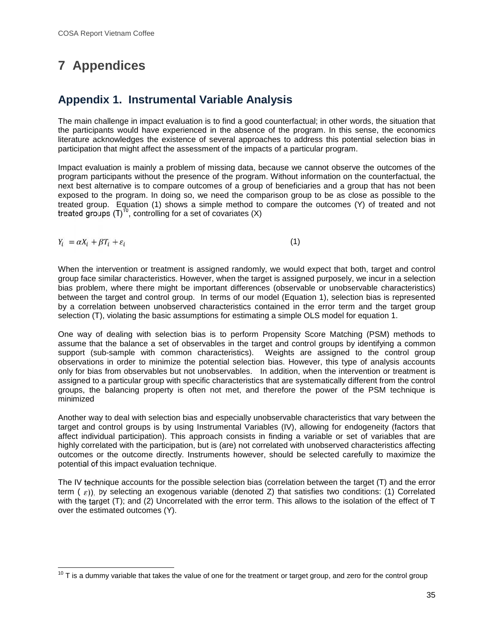# **7 Appendices**

# **Appendix 1. Instrumental Variable Analysis**

The main challenge in impact evaluation is to find a good counterfactual; in other words, the situation that the participants would have experienced in the absence of the program. In this sense, the economics literature acknowledges the existence of several approaches to address this potential selection bias in participation that might affect the assessment of the impacts of a particular program.

Impact evaluation is mainly a problem of missing data, because we cannot observe the outcomes of the program participants without the presence of the program. Without information on the counterfactual, the next best alternative is to compare outcomes of a group of beneficiaries and a group that has not been exposed to the program. In doing so, we need the comparison group to be as close as possible to the treated group. Equation (1) shows a simple method to compare the outcomes (Y) of treated and not treated groups  $(T)^{10}$ , controlling for a set of covariates  $(X)$ 

 $Y_i = \alpha X_i + \beta T_i + \varepsilon_i$  (1)

When the intervention or treatment is assigned randomly, we would expect that both, target and control group face similar characteristics. However, when the target is assigned purposely, we incur in a selection bias problem, where there might be important differences (observable or unobservable characteristics) between the target and control group. In terms of our model (Equation 1), selection bias is represented by a correlation between unobserved characteristics contained in the error term and the target group selection (T), violating the basic assumptions for estimating a simple OLS model for equation 1.

One way of dealing with selection bias is to perform Propensity Score Matching (PSM) methods to assume that the balance a set of observables in the target and control groups by identifying a common support (sub-sample with common characteristics). Weights are assigned to the control group observations in order to minimize the potential selection bias. However, this type of analysis accounts only for bias from observables but not unobservables. In addition, when the intervention or treatment is assigned to a particular group with specific characteristics that are systematically different from the control groups, the balancing property is often not met, and therefore the power of the PSM technique is minimized

Another way to deal with selection bias and especially unobservable characteristics that vary between the target and control groups is by using Instrumental Variables (IV), allowing for endogeneity (factors that affect individual participation). This approach consists in finding a variable or set of variables that are highly correlated with the participation, but is (are) not correlated with unobserved characteristics affecting outcomes or the outcome directly. Instruments however, should be selected carefully to maximize the potential of this impact evaluation technique.

The IV technique accounts for the possible selection bias (correlation between the target (T) and the error term  $(\varepsilon)$ ), by selecting an exogenous variable (denoted Z) that satisfies two conditions: (1) Correlated with the target (T); and (2) Uncorrelated with the error term. This allows to the isolation of the effect of T over the estimated outcomes (Y).

 $10$  T is a dummy variable that takes the value of one for the treatment or target group, and zero for the control group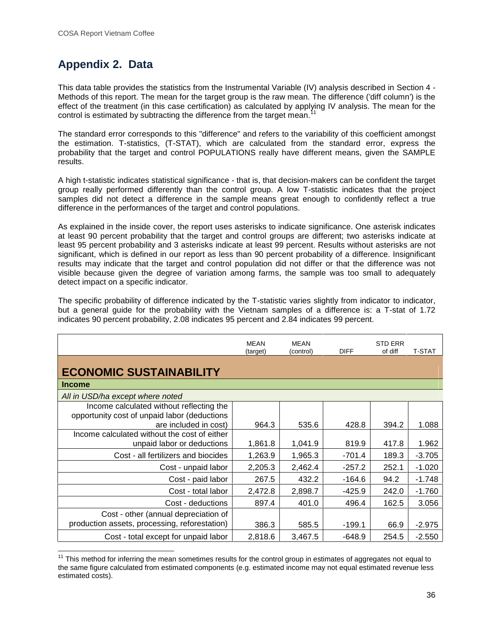# **Appendix 2. Data**

This data table provides the statistics from the Instrumental Variable (IV) analysis described in Section 4 - Methods of this report. The mean for the target group is the raw mean. The difference ('diff column') is the effect of the treatment (in this case certification) as calculated by applying IV analysis. The mean for the control is estimated by subtracting the difference from the target mean.

The standard error corresponds to this "difference" and refers to the variability of this coefficient amongst the estimation. T-statistics, (T-STAT), which are calculated from the standard error, express the probability that the target and control POPULATIONS really have different means, given the SAMPLE results.

A high t-statistic indicates statistical significance - that is, that decision-makers can be confident the target group really performed differently than the control group. A low T-statistic indicates that the project samples did not detect a difference in the sample means great enough to confidently reflect a true difference in the performances of the target and control populations.

As explained in the inside cover, the report uses asterisks to indicate significance. One asterisk indicates at least 90 percent probability that the target and control groups are different; two asterisks indicate at least 95 percent probability and 3 asterisks indicate at least 99 percent. Results without asterisks are not significant, which is defined in our report as less than 90 percent probability of a difference. Insignificant results may indicate that the target and control population did not differ or that the difference was not visible because given the degree of variation among farms, the sample was too small to adequately detect impact on a specific indicator.

The specific probability of difference indicated by the T-statistic varies slightly from indicator to indicator, but a general guide for the probability with the Vietnam samples of a difference is: a T-stat of 1.72 indicates 90 percent probability, 2.08 indicates 95 percent and 2.84 indicates 99 percent.

|                                                                                                                   | <b>MEAN</b><br>(target) | MEAN<br>(control) | <b>DIFF</b> | <b>STD ERR</b><br>of diff | <b>T-STAT</b> |
|-------------------------------------------------------------------------------------------------------------------|-------------------------|-------------------|-------------|---------------------------|---------------|
| <b>ECONOMIC SUSTAINABILITY</b>                                                                                    |                         |                   |             |                           |               |
| <b>Income</b>                                                                                                     |                         |                   |             |                           |               |
| All in USD/ha except where noted                                                                                  |                         |                   |             |                           |               |
| Income calculated without reflecting the<br>opportunity cost of unpaid labor (deductions<br>are included in cost) | 964.3                   | 535.6             | 428.8       | 394.2                     | 1.088         |
| Income calculated without the cost of either<br>unpaid labor or deductions                                        | 1,861.8                 | 1,041.9           | 819.9       | 417.8                     | 1.962         |
| Cost - all fertilizers and biocides                                                                               | 1,263.9                 | 1,965.3           | $-701.4$    | 189.3                     | $-3.705$      |
| Cost - unpaid labor                                                                                               | 2,205.3                 | 2,462.4           | $-257.2$    | 252.1                     | $-1.020$      |
| Cost - paid labor                                                                                                 | 267.5                   | 432.2             | $-164.6$    | 94.2                      | $-1.748$      |
| Cost - total labor                                                                                                | 2,472.8                 | 2,898.7           | -425.9      | 242.0                     | $-1.760$      |
| Cost - deductions                                                                                                 | 897.4                   | 401.0             | 496.4       | 162.5                     | 3.056         |
| Cost - other (annual depreciation of<br>production assets, processing, reforestation)                             | 386.3                   | 585.5             | $-199.1$    | 66.9                      | $-2.975$      |
| Cost - total except for unpaid labor                                                                              | 2,818.6                 | 3,467.5           | $-648.9$    | 254.5                     | $-2.550$      |

<sup>&</sup>lt;sup>11</sup> This method for inferring the mean sometimes results for the control group in estimates of aggregates not equal to the same figure calculated from estimated components (e.g. estimated income may not equal estimated revenue less estimated costs).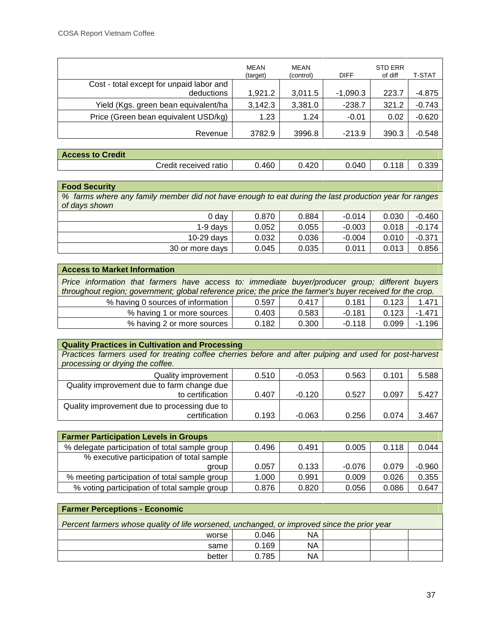|                                                        | MEAN<br>(target) | MEAN<br>(control) | <b>DIFF</b> | <b>STD ERR</b><br>of diff | T-STAT   |
|--------------------------------------------------------|------------------|-------------------|-------------|---------------------------|----------|
| Cost - total except for unpaid labor and<br>deductions | 1,921.2          | 3,011.5           | $-1,090.3$  | 223.7                     | $-4.875$ |
| Yield (Kgs. green bean equivalent/ha                   | 3,142.3          | 3,381.0           | $-238.7$    | 321.2                     | $-0.743$ |
| Price (Green bean equivalent USD/kg)                   | 1.23             | 1.24              | $-0.01$     | 0.02                      | $-0.620$ |
| Revenue                                                | 3782.9           | 3996.8            | $-213.9$    | 390.3                     | $-0.548$ |

| <b>Access to Credit</b> |                       |       |      |       |       |       |
|-------------------------|-----------------------|-------|------|-------|-------|-------|
|                         | Credit received ratio | 0.460 | .420 | 0.040 | 0.118 | 0.339 |
|                         |                       |       |      |       |       |       |

| <b>Food Security</b>                                                                                  |       |       |          |       |          |  |
|-------------------------------------------------------------------------------------------------------|-------|-------|----------|-------|----------|--|
| % farms where any family member did not have enough to eat during the last production year for ranges |       |       |          |       |          |  |
| of days shown                                                                                         |       |       |          |       |          |  |
| 0 day                                                                                                 | 0.870 | 0.884 | $-0.014$ | 0.030 | $-0.460$ |  |
| $1-9$ days                                                                                            | 0.052 | 0.055 | $-0.003$ | 0.018 | $-0.174$ |  |
| $10-29$ days                                                                                          | 0.032 | 0.036 | $-0.004$ | 0.010 | $-0.371$ |  |
| 30 or more days                                                                                       | 0.045 | 0.035 | 0.011    | 0.013 | 0.856    |  |

| <b>Access to Market Information</b>                                                                                                                                                                           |       |       |          |       |          |  |
|---------------------------------------------------------------------------------------------------------------------------------------------------------------------------------------------------------------|-------|-------|----------|-------|----------|--|
| Price information that farmers have access to: immediate buyer/producer group; different buyers<br>throughout region; government; global reference price; the price the farmer's buyer received for the crop. |       |       |          |       |          |  |
| % having 0 sources of information                                                                                                                                                                             | 0.597 | 0.417 | 0.181    | 0.123 | 1.471    |  |
| % having 1 or more sources                                                                                                                                                                                    | 0.403 | 0.583 | $-0.181$ | 0.123 | $-1.471$ |  |
| % having 2 or more sources                                                                                                                                                                                    | 0.182 | 0.300 | $-0.118$ | 0.099 | $-1.196$ |  |
|                                                                                                                                                                                                               |       |       |          |       |          |  |

| <b>Quality Practices in Cultivation and Processing</b>                                                                                     |       |          |       |       |       |
|--------------------------------------------------------------------------------------------------------------------------------------------|-------|----------|-------|-------|-------|
| Practices farmers used for treating coffee cherries before and after pulping and used for post-harvest<br>processing or drying the coffee. |       |          |       |       |       |
| Quality improvement                                                                                                                        | 0.510 | $-0.053$ | 0.563 | 0.101 | 5.588 |
| Quality improvement due to farm change due<br>to certification                                                                             | 0.407 | $-0.120$ | 0.527 | 0.097 | 5.427 |
| Quality improvement due to processing due to                                                                                               |       |          |       |       |       |
| certification                                                                                                                              | 0.193 | $-0.063$ | 0.256 | 0.074 | 3.467 |

| <b>Farmer Participation Levels in Groups</b>   |       |       |          |       |          |
|------------------------------------------------|-------|-------|----------|-------|----------|
| % delegate participation of total sample group | 0.496 | 0.491 | 0.005    | 0.118 | 0.044    |
| % executive participation of total sample      |       |       |          |       |          |
| group                                          | 0.057 | 0.133 | $-0.076$ | 0.079 | $-0.960$ |
| % meeting participation of total sample group  | 1.000 | 0.991 | 0.009    | 0.026 | 0.355    |
| % voting participation of total sample group   | 0.876 | 0.820 | 0.056    | 0.086 | 0.647    |

# **Farmer Perceptions - Economic**

*Percent farmers whose quality of life worsened, unchanged, or improved since the prior year* worse 0.046 NA same 0.169 NA

better 0.785 NA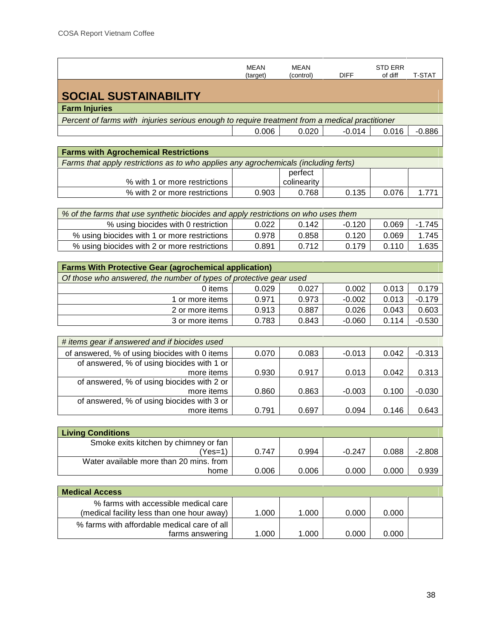|                                                                                                | <b>MEAN</b><br>(target) | <b>MEAN</b><br>(control) | <b>DIFF</b> | <b>STD ERR</b><br>of diff | <b>T-STAT</b> |  |  |  |  |
|------------------------------------------------------------------------------------------------|-------------------------|--------------------------|-------------|---------------------------|---------------|--|--|--|--|
| <b>SOCIAL SUSTAINABILITY</b>                                                                   |                         |                          |             |                           |               |  |  |  |  |
| <b>Farm Injuries</b>                                                                           |                         |                          |             |                           |               |  |  |  |  |
| Percent of farms with injuries serious enough to require treatment from a medical practitioner |                         |                          |             |                           |               |  |  |  |  |
|                                                                                                | 0.006                   | 0.020                    | $-0.014$    | 0.016                     | $-0.886$      |  |  |  |  |
|                                                                                                |                         |                          |             |                           |               |  |  |  |  |
| <b>Farms with Agrochemical Restrictions</b>                                                    |                         |                          |             |                           |               |  |  |  |  |
| Farms that apply restrictions as to who applies any agrochemicals (including ferts)            |                         |                          |             |                           |               |  |  |  |  |
|                                                                                                |                         | perfect                  |             |                           |               |  |  |  |  |
| % with 1 or more restrictions                                                                  |                         | colinearity              |             | 0.076                     |               |  |  |  |  |
| % with 2 or more restrictions                                                                  | 0.903                   | 0.768                    | 0.135       |                           | 1.771         |  |  |  |  |
| % of the farms that use synthetic biocides and apply restrictions on who uses them             |                         |                          |             |                           |               |  |  |  |  |
| % using biocides with 0 restriction                                                            | 0.022                   | 0.142                    | $-0.120$    | 0.069                     | $-1.745$      |  |  |  |  |
| % using biocides with 1 or more restrictions                                                   | 0.978                   | 0.858                    | 0.120       | 0.069                     | 1.745         |  |  |  |  |
| % using biocides with 2 or more restrictions                                                   | 0.891                   | 0.712                    | 0.179       | 0.110                     | 1.635         |  |  |  |  |
|                                                                                                |                         |                          |             |                           |               |  |  |  |  |
| <b>Farms With Protective Gear (agrochemical application)</b>                                   |                         |                          |             |                           |               |  |  |  |  |
| Of those who answered, the number of types of protective gear used                             |                         |                          |             |                           |               |  |  |  |  |
| 0 items                                                                                        | 0.029                   | 0.027                    | 0.002       | 0.013                     | 0.179         |  |  |  |  |
| 1 or more items                                                                                | 0.971                   | 0.973                    | $-0.002$    | 0.013                     | $-0.179$      |  |  |  |  |
| 2 or more items                                                                                | 0.913                   | 0.887                    | 0.026       | 0.043                     | 0.603         |  |  |  |  |
| 3 or more items                                                                                | 0.783                   | 0.843                    | $-0.060$    | 0.114                     | $-0.530$      |  |  |  |  |
|                                                                                                |                         |                          |             |                           |               |  |  |  |  |
| # items gear if answered and if biocides used                                                  |                         |                          |             |                           |               |  |  |  |  |
| of answered, % of using biocides with 0 items                                                  | 0.070                   | 0.083                    | $-0.013$    | 0.042                     | $-0.313$      |  |  |  |  |
| of answered, % of using biocides with 1 or                                                     |                         |                          |             |                           |               |  |  |  |  |
| more items                                                                                     | 0.930                   | 0.917                    | 0.013       | 0.042                     | 0.313         |  |  |  |  |
| of answered, % of using biocides with 2 or                                                     |                         |                          |             |                           |               |  |  |  |  |
| more items<br>of answered, % of using biocides with 3 or                                       | 0.860                   | 0.863                    | $-0.003$    | 0.100                     | $-0.030$      |  |  |  |  |
| more <i>items</i>                                                                              | 0.791                   | 0.697                    | 0.094       | 0.146                     | 0.643         |  |  |  |  |
|                                                                                                |                         |                          |             |                           |               |  |  |  |  |
| <b>Living Conditions</b>                                                                       |                         |                          |             |                           |               |  |  |  |  |
| Smoke exits kitchen by chimney or fan                                                          |                         |                          |             |                           |               |  |  |  |  |
| $(Yes=1)$                                                                                      | 0.747                   | 0.994                    | $-0.247$    | 0.088                     | $-2.808$      |  |  |  |  |
| Water available more than 20 mins, from                                                        |                         |                          |             |                           |               |  |  |  |  |
| home                                                                                           | 0.006                   | 0.006                    | 0.000       | 0.000                     | 0.939         |  |  |  |  |
|                                                                                                |                         |                          |             |                           |               |  |  |  |  |
| <b>Medical Access</b>                                                                          |                         |                          |             |                           |               |  |  |  |  |
| % farms with accessible medical care                                                           |                         |                          |             |                           |               |  |  |  |  |
| (medical facility less than one hour away)                                                     | 1.000                   | 1.000                    | 0.000       | 0.000                     |               |  |  |  |  |
| % farms with affordable medical care of all<br>farms answering                                 | 1.000                   | 1.000                    | 0.000       | 0.000                     |               |  |  |  |  |
|                                                                                                |                         |                          |             |                           |               |  |  |  |  |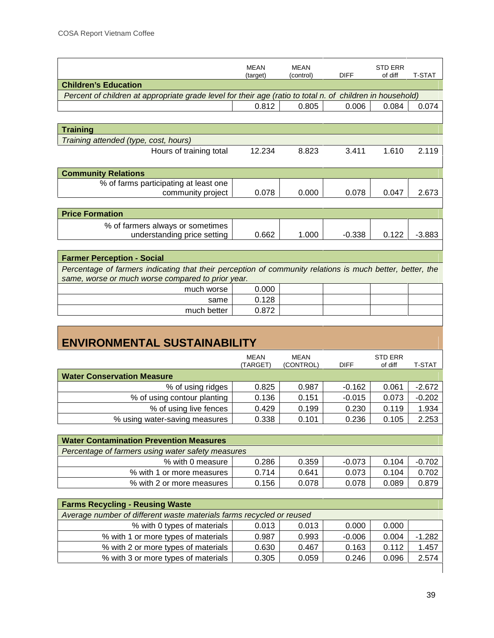|                                                                                                           | <b>MEAN</b> | <b>MEAN</b> |             | <b>STD ERR</b> |               |
|-----------------------------------------------------------------------------------------------------------|-------------|-------------|-------------|----------------|---------------|
|                                                                                                           | (target)    | (control)   | <b>DIFF</b> | of diff        | <b>T-STAT</b> |
| <b>Children's Education</b>                                                                               |             |             |             |                |               |
| Percent of children at appropriate grade level for their age (ratio to total n. of children in household) |             |             |             |                |               |
|                                                                                                           | 0.812       | 0.805       | 0.006       | 0.084          | 0.074         |
|                                                                                                           |             |             |             |                |               |
| <b>Training</b>                                                                                           |             |             |             |                |               |
| Training attended (type, cost, hours)                                                                     |             |             |             |                |               |
| Hours of training total                                                                                   | 12.234      | 8.823       | 3.411       | 1.610          | 2.119         |
|                                                                                                           |             |             |             |                |               |
| <b>Community Relations</b>                                                                                |             |             |             |                |               |
| % of farms participating at least one                                                                     |             |             |             |                |               |
| community project                                                                                         | 0.078       | 0.000       | 0.078       | 0.047          | 2.673         |
|                                                                                                           |             |             |             |                |               |
| <b>Price Formation</b>                                                                                    |             |             |             |                |               |
| % of farmers always or sometimes                                                                          |             |             |             |                |               |
| understanding price setting                                                                               | 0.662       | 1.000       | $-0.338$    | 0.122          | $-3.883$      |
|                                                                                                           |             |             |             |                |               |
| <b>Farmer Perception - Social</b>                                                                         |             |             |             |                |               |
| Percentage of farmers indicating that their perception of community relations is much better, better, the |             |             |             |                |               |
| same, worse or much worse compared to prior year.                                                         |             |             |             |                |               |
| much worse                                                                                                | 0.000       |             |             |                |               |
| same                                                                                                      | 0.128       |             |             |                |               |

| much worse  | 0.000 |  |  |
|-------------|-------|--|--|
| same        |       |  |  |
| much better | ).872 |  |  |
|             |       |  |  |

# **ENVIRONMENTAL SUSTAINABILITY**

|                                   | MEAN<br>(TARGET) | MEAN<br>(CONTROL) | <b>DIFF</b> | <b>STD ERR</b><br>of diff | T-STAT   |
|-----------------------------------|------------------|-------------------|-------------|---------------------------|----------|
| <b>Water Conservation Measure</b> |                  |                   |             |                           |          |
| % of using ridges                 | 0.825            | 0.987             | $-0.162$    | 0.061                     | $-2.672$ |
| % of using contour planting       | 0.136            | 0.151             | $-0.015$    | 0.073                     | $-0.202$ |
| % of using live fences            | 0.429            | 0.199             | 0.230       | 0.119                     | 1.934    |
| % using water-saving measures     | 0.338            | 0.101             | 0.236       | 0.105                     | 2.253    |

| <b>Water Contamination Prevention Measures</b>    |       |       |          |       |          |
|---------------------------------------------------|-------|-------|----------|-------|----------|
| Percentage of farmers using water safety measures |       |       |          |       |          |
| % with 0 measure                                  | 0.286 | 0.359 | $-0.073$ | 0.104 | $-0.702$ |
| % with 1 or more measures                         | 0.714 | 0.641 | 0.073    | 0.104 | 0.702    |
| % with 2 or more measures                         | 0.156 | 0.078 | 0.078    | 0.089 | 0.879    |

| <b>Farms Recycling - Reusing Waste</b>                               |       |       |          |       |          |  |  |  |
|----------------------------------------------------------------------|-------|-------|----------|-------|----------|--|--|--|
| Average number of different waste materials farms recycled or reused |       |       |          |       |          |  |  |  |
| % with 0 types of materials                                          | 0.013 | 0.013 | 0.000    | 0.000 |          |  |  |  |
| % with 1 or more types of materials                                  | 0.987 | 0.993 | $-0.006$ | 0.004 | $-1.282$ |  |  |  |
| % with 2 or more types of materials                                  | 0.630 | 0.467 | 0.163    | 0.112 | 1.457    |  |  |  |
| % with 3 or more types of materials                                  | 0.305 | 0.059 | 0.246    | 0.096 | 2.574    |  |  |  |
|                                                                      |       |       |          |       |          |  |  |  |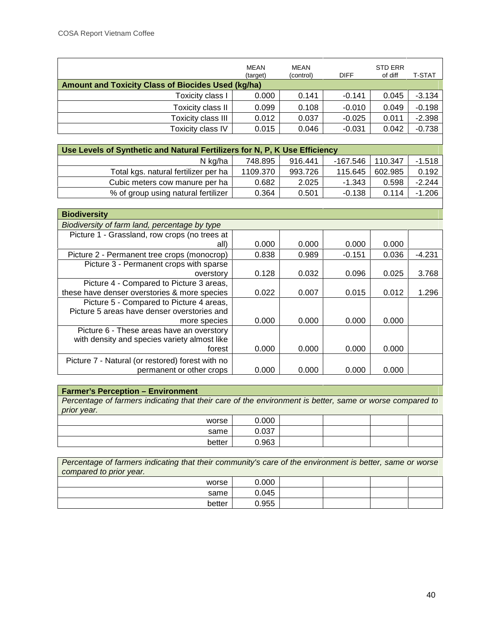|                                                           | <b>MEAN</b><br>(target) | MEAN<br>(control) | <b>DIFF</b> | <b>STD ERR</b><br>of diff | T-STAT   |  |  |
|-----------------------------------------------------------|-------------------------|-------------------|-------------|---------------------------|----------|--|--|
| <b>Amount and Toxicity Class of Biocides Used (kg/ha)</b> |                         |                   |             |                           |          |  |  |
| Toxicity class I                                          | 0.000                   | 0.141             | $-0.141$    | 0.045                     | $-3.134$ |  |  |
| Toxicity class II                                         | 0.099                   | 0.108             | $-0.010$    | 0.049                     | $-0.198$ |  |  |
| Toxicity class III                                        | 0.012                   | 0.037             | $-0.025$    | 0.011                     | $-2.398$ |  |  |
| Toxicity class IV                                         | 0.015                   | 0.046             | $-0.031$    | 0.042                     | $-0.738$ |  |  |
|                                                           |                         |                   |             |                           |          |  |  |

| Use Levels of Synthetic and Natural Fertilizers for N, P, K Use Efficiency |          |         |          |         |          |  |  |  |  |
|----------------------------------------------------------------------------|----------|---------|----------|---------|----------|--|--|--|--|
| N kg/ha                                                                    | 748.895  | 916.441 | -167.546 | 110.347 | $-1.518$ |  |  |  |  |
| Total kgs. natural fertilizer per ha                                       | 1109.370 | 993.726 | 115.645  | 602.985 | 0.192    |  |  |  |  |
| Cubic meters cow manure per ha                                             | 0.682    | 2.025   | $-1.343$ | 0.598   | $-2.244$ |  |  |  |  |
| % of group using natural fertilizer                                        | 0.364    | 0.501   | $-0.138$ | 0.114   | $-1.206$ |  |  |  |  |

| <b>Biodiversity</b>                              |       |       |          |       |          |
|--------------------------------------------------|-------|-------|----------|-------|----------|
| Biodiversity of farm land, percentage by type    |       |       |          |       |          |
| Picture 1 - Grassland, row crops (no trees at    |       |       |          |       |          |
| all)                                             | 0.000 | 0.000 | 0.000    | 0.000 |          |
| Picture 2 - Permanent tree crops (monocrop)      | 0.838 | 0.989 | $-0.151$ | 0.036 | $-4.231$ |
| Picture 3 - Permanent crops with sparse          |       |       |          |       |          |
| overstory                                        | 0.128 | 0.032 | 0.096    | 0.025 | 3.768    |
| Picture 4 - Compared to Picture 3 areas,         |       |       |          |       |          |
| these have denser overstories & more species     | 0.022 | 0.007 | 0.015    | 0.012 | 1.296    |
| Picture 5 - Compared to Picture 4 areas,         |       |       |          |       |          |
| Picture 5 areas have denser overstories and      |       |       |          |       |          |
| more species                                     | 0.000 | 0.000 | 0.000    | 0.000 |          |
| Picture 6 - These areas have an overstory        |       |       |          |       |          |
| with density and species variety almost like     |       |       |          |       |          |
| forest                                           | 0.000 | 0.000 | 0.000    | 0.000 |          |
| Picture 7 - Natural (or restored) forest with no |       |       |          |       |          |
| permanent or other crops                         | 0.000 | 0.000 | 0.000    | 0.000 |          |

#### **Farmer's Perception – Environment**

*Percentage of farmers indicating that their care of the environment is better, same or worse compared to prior year.*

| worse  | 0.000 |  |  |
|--------|-------|--|--|
| same   | 0.037 |  |  |
| better | 0.963 |  |  |

| Percentage of farmers indicating that their community's care of the environment is better, same or worse<br>compared to prior year. |       |  |  |  |  |  |  |  |  |  |
|-------------------------------------------------------------------------------------------------------------------------------------|-------|--|--|--|--|--|--|--|--|--|
| worse                                                                                                                               | 0.000 |  |  |  |  |  |  |  |  |  |
| same                                                                                                                                | 0.045 |  |  |  |  |  |  |  |  |  |
| better                                                                                                                              | 0.955 |  |  |  |  |  |  |  |  |  |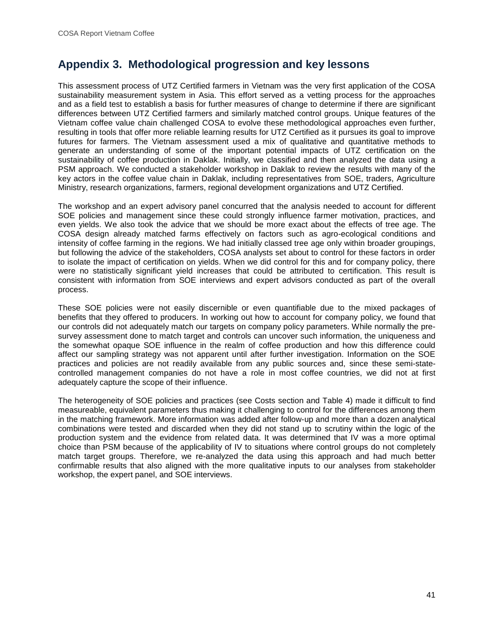# **Appendix 3. Methodological progression and key lessons**

This assessment process of UTZ Certified farmers in Vietnam was the very first application of the COSA sustainability measurement system in Asia. This effort served as a vetting process for the approaches and as a field test to establish a basis for further measures of change to determine if there are significant differences between UTZ Certified farmers and similarly matched control groups. Unique features of the Vietnam coffee value chain challenged COSA to evolve these methodological approaches even further, resulting in tools that offer more reliable learning results for UTZ Certified as it pursues its goal to improve futures for farmers. The Vietnam assessment used a mix of qualitative and quantitative methods to generate an understanding of some of the important potential impacts of UTZ certification on the sustainability of coffee production in Daklak. Initially, we classified and then analyzed the data using a PSM approach. We conducted a stakeholder workshop in Daklak to review the results with many of the key actors in the coffee value chain in Daklak, including representatives from SOE, traders, Agriculture Ministry, research organizations, farmers, regional development organizations and UTZ Certified.

The workshop and an expert advisory panel concurred that the analysis needed to account for different SOE policies and management since these could strongly influence farmer motivation, practices, and even yields. We also took the advice that we should be more exact about the effects of tree age. The COSA design already matched farms effectively on factors such as agro-ecological conditions and intensity of coffee farming in the regions. We had initially classed tree age only within broader groupings, but following the advice of the stakeholders, COSA analysts set about to control for these factors in order to isolate the impact of certification on yields. When we did control for this and for company policy, there were no statistically significant yield increases that could be attributed to certification. This result is consistent with information from SOE interviews and expert advisors conducted as part of the overall process.

These SOE policies were not easily discernible or even quantifiable due to the mixed packages of benefits that they offered to producers. In working out how to account for company policy, we found that our controls did not adequately match our targets on company policy parameters. While normally the pre survey assessment done to match target and controls can uncover such information, the uniqueness and the somewhat opaque SOE influence in the realm of coffee production and how this difference could affect our sampling strategy was not apparent until after further investigation. Information on the SOE practices and policies are not readily available from any public sources and, since these semi-state controlled management companies do not have a role in most coffee countries, we did not at first adequately capture the scope of their influence.

The heterogeneity of SOE policies and practices (see Costs section and Table 4) made it difficult to find measureable, equivalent parameters thus making it challenging to control for the differences among them in the matching framework. More information was added after follow-up and more than a dozen analytical combinations were tested and discarded when they did not stand up to scrutiny within the logic of the production system and the evidence from related data. It was determined that IV was a more optimal choice than PSM because of the applicability of IV to situations where control groups do not completely match target groups. Therefore, we re-analyzed the data using this approach and had much better confirmable results that also aligned with the more qualitative inputs to our analyses from stakeholder workshop, the expert panel, and SOE interviews.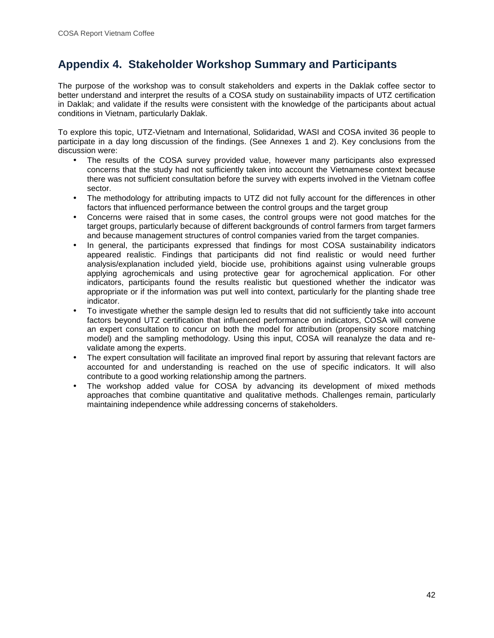# **Appendix 4. Stakeholder Workshop Summary and Participants**

The purpose of the workshop was to consult stakeholders and experts in the Daklak coffee sector to better understand and interpret the results of a COSA study on sustainability impacts of UTZ certification in Daklak; and validate if the results were consistent with the knowledge of the participants about actual conditions in Vietnam, particularly Daklak.

To explore this topic, UTZ-Vietnam and International, Solidaridad, WASI and COSA invited 36 people to participate in a day long discussion of the findings. (See Annexes 1 and 2). Key conclusions from the discussion were:

- The results of the COSA survey provided value, however many participants also expressed concerns that the study had not sufficiently taken into account the Vietnamese context because there was not sufficient consultation before the survey with experts involved in the Vietnam coffee sector.
- The methodology for attributing impacts to UTZ did not fully account for the differences in other factors that influenced performance between the control groups and the target group
- Concerns were raised that in some cases, the control groups were not good matches for the target groups, particularly because of different backgrounds of control farmers from target farmers and because management structures of control companies varied from the target companies.
- In general, the participants expressed that findings for most COSA sustainability indicators appeared realistic. Findings that participants did not find realistic or would need further analysis/explanation included yield, biocide use, prohibitions against using vulnerable groups applying agrochemicals and using protective gear for agrochemical application. For other indicators, participants found the results realistic but questioned whether the indicator was appropriate or if the information was put well into context, particularly for the planting shade tree indicator.
- To investigate whether the sample design led to results that did not sufficiently take into account factors beyond UTZ certification that influenced performance on indicators, COSA will convene an expert consultation to concur on both the model for attribution (propensity score matching model) and the sampling methodology. Using this input, COSA will reanalyze the data and re validate among the experts.
- The expert consultation will facilitate an improved final report by assuring that relevant factors are accounted for and understanding is reached on the use of specific indicators. It will also contribute to a good working relationship among the partners.
- The workshop added value for COSA by advancing its development of mixed methods approaches that combine quantitative and qualitative methods. Challenges remain, particularly maintaining independence while addressing concerns of stakeholders.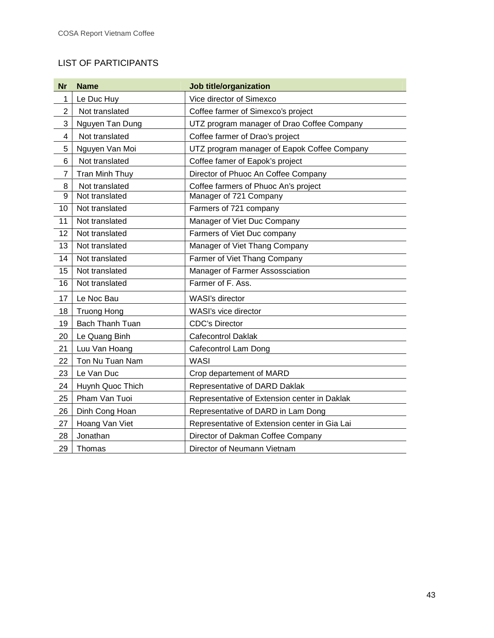# LIST OF PARTICIPANTS

| <b>Nr</b>      | <b>Name</b>           | Job title/organization                        |
|----------------|-----------------------|-----------------------------------------------|
| 1              | Le Duc Huy            | Vice director of Simexco                      |
| $\overline{2}$ | Not translated        | Coffee farmer of Simexco's project            |
| 3              | Nguyen Tan Dung       | UTZ program manager of Drao Coffee Company    |
| 4              | Not translated        | Coffee farmer of Drao's project               |
| 5              | Nguyen Van Moi        | UTZ program manager of Eapok Coffee Company   |
| 6              | Not translated        | Coffee famer of Eapok's project               |
| 7              | <b>Tran Minh Thuy</b> | Director of Phuoc An Coffee Company           |
| 8              | Not translated        | Coffee farmers of Phuoc An's project          |
| 9              | Not translated        | Manager of 721 Company                        |
| 10             | Not translated        | Farmers of 721 company                        |
| 11             | Not translated        | Manager of Viet Duc Company                   |
| 12             | Not translated        | Farmers of Viet Duc company                   |
| 13             | Not translated        | Manager of Viet Thang Company                 |
| 14             | Not translated        | Farmer of Viet Thang Company                  |
| 15             | Not translated        | Manager of Farmer Assossciation               |
| 16             | Not translated        | Farmer of F. Ass.                             |
| 17             | Le Noc Bau            | WASI's director                               |
| 18             | <b>Truong Hong</b>    | WASI's vice director                          |
| 19             | Bach Thanh Tuan       | <b>CDC's Director</b>                         |
| 20             | Le Quang Binh         | <b>Cafecontrol Daklak</b>                     |
| 21             | Luu Van Hoang         | Cafecontrol Lam Dong                          |
| 22             | Ton Nu Tuan Nam       | <b>WASI</b>                                   |
| 23             | Le Van Duc            | Crop departement of MARD                      |
| 24             | Huynh Quoc Thich      | Representative of DARD Daklak                 |
| 25             | Pham Van Tuoi         | Representative of Extension center in Daklak  |
| 26             | Dinh Cong Hoan        | Representative of DARD in Lam Dong            |
| 27             | Hoang Van Viet        | Representative of Extension center in Gia Lai |
| 28             | Jonathan              | Director of Dakman Coffee Company             |
| 29             | Thomas                | Director of Neumann Vietnam                   |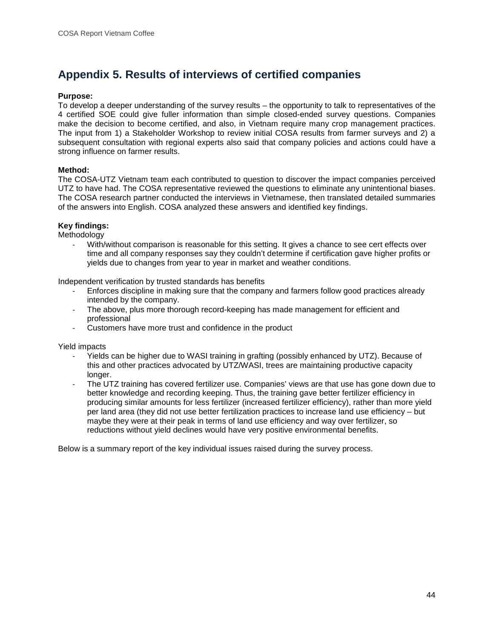# **Appendix 5. Results of interviews of certified companies**

#### **Purpose:**

To develop a deeper understanding of the survey results – the opportunity to talk to representatives of the 4 certified SOE could give fuller information than simple closed-ended survey questions. Companies make the decision to become certified, and also, in Vietnam require many crop management practices. The input from 1) a Stakeholder Workshop to review initial COSA results from farmer surveys and 2) a subsequent consultation with regional experts also said that company policies and actions could have a strong influence on farmer results.

#### **Method:**

The COSA-UTZ Vietnam team each contributed to question to discover the impact companies perceived UTZ to have had. The COSA representative reviewed the questions to eliminate any unintentional biases. The COSA research partner conducted the interviews in Vietnamese, then translated detailed summaries of the answers into English. COSA analyzed these answers and identified key findings.

#### **Key findings:**

Methodology

With/without comparison is reasonable for this setting. It gives a chance to see cert effects over time and all company responses say they couldn't determine if certification gave higher profits or yields due to changes from year to year in market and weather conditions.

Independent verification by trusted standards has benefits

- Enforces discipline in making sure that the company and farmers follow good practices already intended by the company.
- The above, plus more thorough record-keeping has made management for efficient and professional
- Customers have more trust and confidence in the product

Yield impacts

- Yields can be higher due to WASI training in grafting (possibly enhanced by UTZ). Because of this and other practices advocated by UTZ/WASI, trees are maintaining productive capacity longer.
- The UTZ training has covered fertilizer use. Companies' views are that use has gone down due to better knowledge and recording keeping. Thus, the training gave better fertilizer efficiency in producing similar amounts for less fertilizer (increased fertilizer efficiency), rather than more yield per land area (they did not use better fertilization practices to increase land use efficiency – but maybe they were at their peak in terms of land use efficiency and way over fertilizer, so reductions without yield declines would have very positive environmental benefits.

Below is a summary report of the key individual issues raised during the survey process.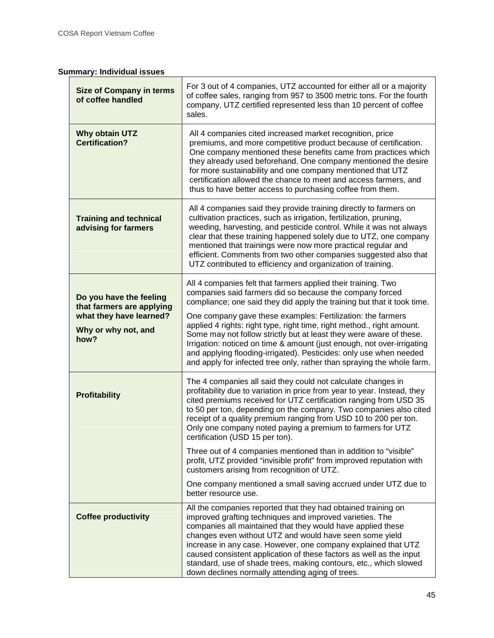# **Summary: Individual issues**

| <b>Size of Company in terms</b><br>of coffee handled                                                           | For 3 out of 4 companies, UTZ accounted for either all or a majority<br>of coffee sales, ranging from 957 to 3500 metric tons. For the fourth<br>company, UTZ certified represented less than 10 percent of coffee<br>sales.                                                                                                                                                                                                                                                                                                                                                                                                                   |
|----------------------------------------------------------------------------------------------------------------|------------------------------------------------------------------------------------------------------------------------------------------------------------------------------------------------------------------------------------------------------------------------------------------------------------------------------------------------------------------------------------------------------------------------------------------------------------------------------------------------------------------------------------------------------------------------------------------------------------------------------------------------|
| Why obtain UTZ<br><b>Certification?</b>                                                                        | All 4 companies cited increased market recognition, price<br>premiums, and more competitive product because of certification.<br>One company mentioned these benefits came from practices which<br>they already used beforehand. One company mentioned the desire<br>for more sustainability and one company mentioned that UTZ<br>certification allowed the chance to meet and access farmers, and<br>thus to have better access to purchasing coffee from them.                                                                                                                                                                              |
| <b>Training and technical</b><br>advising for farmers                                                          | All 4 companies said they provide training directly to farmers on<br>cultivation practices, such as irrigation, fertilization, pruning,<br>weeding, harvesting, and pesticide control. While it was not always<br>clear that these training happened solely due to UTZ, one company<br>mentioned that trainings were now more practical regular and<br>efficient. Comments from two other companies suggested also that<br>UTZ contributed to efficiency and organization of training.                                                                                                                                                         |
| Do you have the feeling<br>that farmers are applying<br>what they have learned?<br>Why or why not, and<br>how? | All 4 companies felt that farmers applied their training. Two<br>companies said farmers did so because the company forced<br>compliance; one said they did apply the training but that it took time.<br>One company gave these examples: Fertilization: the farmers<br>applied 4 rights: right type, right time, right method., right amount.<br>Some may not follow strictly but at least they were aware of these.<br>Irrigation: noticed on time & amount (just enough, not over-irrigating<br>and applying flooding-irrigated). Pesticides: only use when needed<br>and apply for infected tree only, rather than spraying the whole farm. |
| <b>Profitability</b>                                                                                           | The 4 companies all said they could not calculate changes in<br>profitability due to variation in price from year to year. Instead, they<br>cited premiums received for UTZ certification ranging from USD 35<br>to 50 per ton, depending on the company. Two companies also cited<br>receipt of a quality premium ranging from USD 10 to 200 per ton.<br>Only one company noted paying a premium to farmers for UTZ<br>certification (USD 15 per ton).                                                                                                                                                                                        |
|                                                                                                                | Three out of 4 companies mentioned than in addition to "visible"<br>profit, UTZ provided "invisible profit" from improved reputation with<br>customers arising from recognition of UTZ.                                                                                                                                                                                                                                                                                                                                                                                                                                                        |
|                                                                                                                | One company mentioned a small saving accrued under UTZ due to<br>better resource use.                                                                                                                                                                                                                                                                                                                                                                                                                                                                                                                                                          |
| <b>Coffee productivity</b>                                                                                     | All the companies reported that they had obtained training on<br>improved grafting techniques and improved varieties. The<br>companies all maintained that they would have applied these<br>changes even without UTZ and would have seen some yield<br>increase in any case. However, one company explained that UTZ<br>caused consistent application of these factors as well as the input<br>standard, use of shade trees, making contours, etc., which slowed<br>down declines normally attending aging of trees.                                                                                                                           |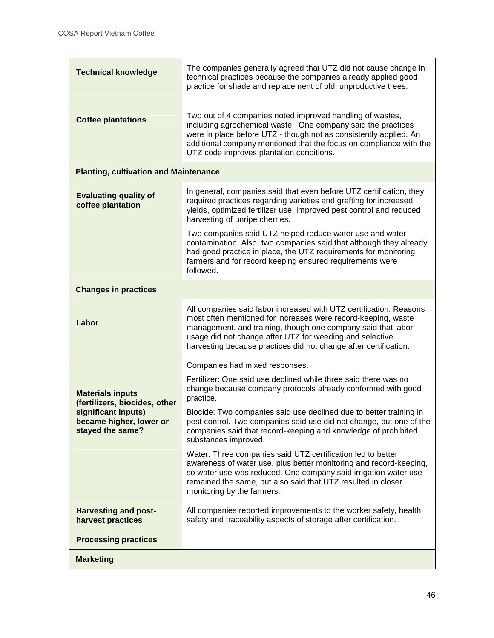| <b>Technical knowledge</b>                                         | The companies generally agreed that UTZ did not cause change in<br>technical practices because the companies already applied good<br>practice for shade and replacement of old, unproductive trees.                                                                                                                                 |  |
|--------------------------------------------------------------------|-------------------------------------------------------------------------------------------------------------------------------------------------------------------------------------------------------------------------------------------------------------------------------------------------------------------------------------|--|
| <b>Coffee plantations</b>                                          | Two out of 4 companies noted improved handling of wastes,<br>including agrochemical waste. One company said the practices<br>were in place before UTZ - though not as consistently applied. An<br>additional company mentioned that the focus on compliance with the<br>UTZ code improves plantation conditions.                    |  |
| <b>Planting, cultivation and Maintenance</b>                       |                                                                                                                                                                                                                                                                                                                                     |  |
| <b>Evaluating quality of</b><br>coffee plantation                  | In general, companies said that even before UTZ certification, they<br>required practices regarding varieties and grafting for increased<br>yields, optimized fertilizer use, improved pest control and reduced<br>harvesting of unripe cherries.                                                                                   |  |
|                                                                    | Two companies said UTZ helped reduce water use and water<br>contamination. Also, two companies said that although they already<br>had good practice in place, the UTZ requirements for monitoring<br>farmers and for record keeping ensured requirements were<br>followed.                                                          |  |
| <b>Changes in practices</b>                                        |                                                                                                                                                                                                                                                                                                                                     |  |
| Labor                                                              | All companies said labor increased with UTZ certification. Reasons<br>most often mentioned for increases were record-keeping, waste<br>management, and training, though one company said that labor<br>usage did not change after UTZ for weeding and selective<br>harvesting because practices did not change after certification. |  |
|                                                                    | Companies had mixed responses.                                                                                                                                                                                                                                                                                                      |  |
| <b>Materials inputs</b><br>(fertilizers, biocides, other           | Fertilizer: One said use declined while three said there was no<br>change because company protocols already conformed with good<br>practice.                                                                                                                                                                                        |  |
| significant inputs)<br>became higher, lower or<br>stayed the same? | Biocide: Two companies said use declined due to better training in<br>pest control. Two companies said use did not change, but one of the<br>companies said that record-keeping and knowledge of prohibited<br>substances improved.                                                                                                 |  |
|                                                                    | Water: Three companies said UTZ certification led to better<br>awareness of water use, plus better monitoring and record-keeping,<br>so water use was reduced. One company said irrigation water use<br>remained the same, but also said that UTZ resulted in closer<br>monitoring by the farmers.                                  |  |
| <b>Harvesting and post-</b><br>harvest practices                   | All companies reported improvements to the worker safety, health<br>safety and traceability aspects of storage after certification.                                                                                                                                                                                                 |  |
| <b>Processing practices</b>                                        |                                                                                                                                                                                                                                                                                                                                     |  |
| <b>Marketing</b>                                                   |                                                                                                                                                                                                                                                                                                                                     |  |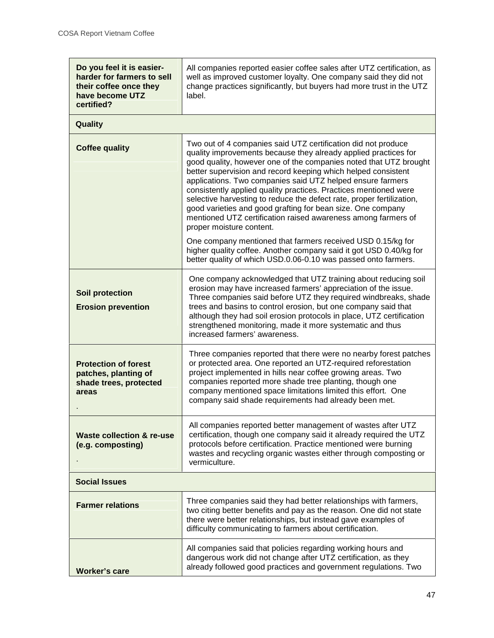| Do you feel it is easier-<br>harder for farmers to sell<br>their coffee once they<br>have become UTZ<br>certified? | All companies reported easier coffee sales after UTZ certification, as<br>well as improved customer loyalty. One company said they did not<br>change practices significantly, but buyers had more trust in the UTZ<br>label.                                                                                                                                                                                                                                                                                                                                                                                                                                                                                                                                                                                                                         |  |
|--------------------------------------------------------------------------------------------------------------------|------------------------------------------------------------------------------------------------------------------------------------------------------------------------------------------------------------------------------------------------------------------------------------------------------------------------------------------------------------------------------------------------------------------------------------------------------------------------------------------------------------------------------------------------------------------------------------------------------------------------------------------------------------------------------------------------------------------------------------------------------------------------------------------------------------------------------------------------------|--|
| Quality                                                                                                            |                                                                                                                                                                                                                                                                                                                                                                                                                                                                                                                                                                                                                                                                                                                                                                                                                                                      |  |
| <b>Coffee quality</b>                                                                                              | Two out of 4 companies said UTZ certification did not produce<br>quality improvements because they already applied practices for<br>good quality, however one of the companies noted that UTZ brought<br>better supervision and record keeping which helped consistent<br>applications. Two companies said UTZ helped ensure farmers<br>consistently applied quality practices. Practices mentioned were<br>selective harvesting to reduce the defect rate, proper fertilization,<br>good varieties and good grafting for bean size. One company<br>mentioned UTZ certification raised awareness among farmers of<br>proper moisture content.<br>One company mentioned that farmers received USD 0.15/kg for<br>higher quality coffee. Another company said it got USD 0.40/kg for<br>better quality of which USD.0.06-0.10 was passed onto farmers. |  |
| Soil protection<br><b>Erosion prevention</b>                                                                       | One company acknowledged that UTZ training about reducing soil<br>erosion may have increased farmers' appreciation of the issue.<br>Three companies said before UTZ they required windbreaks, shade<br>trees and basins to control erosion, but one company said that<br>although they had soil erosion protocols in place, UTZ certification<br>strengthened monitoring, made it more systematic and thus<br>increased farmers' awareness.                                                                                                                                                                                                                                                                                                                                                                                                          |  |
| <b>Protection of forest</b><br>patches, planting of<br>shade trees, protected<br>areas                             | Three companies reported that there were no nearby forest patches<br>or protected area. One reported an UTZ-required reforestation<br>project implemented in hills near coffee growing areas. Two<br>companies reported more shade tree planting, though one<br>company mentioned space limitations limited this effort. One<br>company said shade requirements had already been met.                                                                                                                                                                                                                                                                                                                                                                                                                                                                |  |
| <b>Waste collection &amp; re-use</b><br>(e.g. composting)                                                          | All companies reported better management of wastes after UTZ<br>certification, though one company said it already required the UTZ<br>protocols before certification. Practice mentioned were burning<br>wastes and recycling organic wastes either through composting or<br>vermiculture.                                                                                                                                                                                                                                                                                                                                                                                                                                                                                                                                                           |  |
| <b>Social Issues</b>                                                                                               |                                                                                                                                                                                                                                                                                                                                                                                                                                                                                                                                                                                                                                                                                                                                                                                                                                                      |  |
| <b>Farmer relations</b>                                                                                            | Three companies said they had better relationships with farmers,<br>two citing better benefits and pay as the reason. One did not state<br>there were better relationships, but instead gave examples of<br>difficulty communicating to farmers about certification.                                                                                                                                                                                                                                                                                                                                                                                                                                                                                                                                                                                 |  |
| <b>Worker's care</b>                                                                                               | All companies said that policies regarding working hours and<br>dangerous work did not change after UTZ certification, as they<br>already followed good practices and government regulations. Two                                                                                                                                                                                                                                                                                                                                                                                                                                                                                                                                                                                                                                                    |  |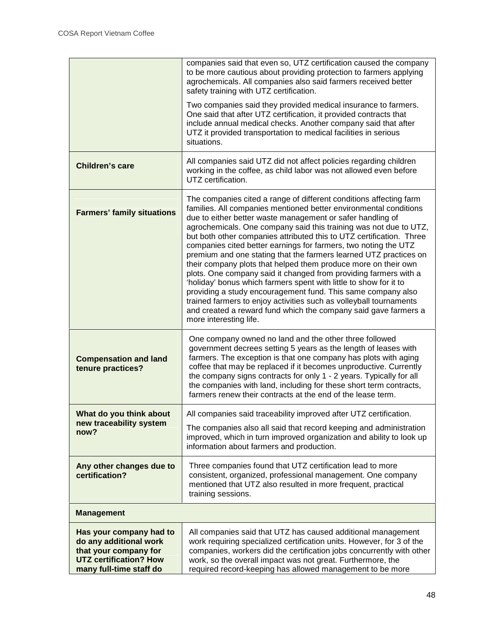|                                                                                                                                        | companies said that even so, UTZ certification caused the company<br>to be more cautious about providing protection to farmers applying<br>agrochemicals. All companies also said farmers received better<br>safety training with UTZ certification.                                                                                                                                                                                                                                                                                                                                                                                                                                                                                                                                                                                                                                                                                     |
|----------------------------------------------------------------------------------------------------------------------------------------|------------------------------------------------------------------------------------------------------------------------------------------------------------------------------------------------------------------------------------------------------------------------------------------------------------------------------------------------------------------------------------------------------------------------------------------------------------------------------------------------------------------------------------------------------------------------------------------------------------------------------------------------------------------------------------------------------------------------------------------------------------------------------------------------------------------------------------------------------------------------------------------------------------------------------------------|
|                                                                                                                                        | Two companies said they provided medical insurance to farmers.<br>One said that after UTZ certification, it provided contracts that<br>include annual medical checks. Another company said that after<br>UTZ it provided transportation to medical facilities in serious<br>situations.                                                                                                                                                                                                                                                                                                                                                                                                                                                                                                                                                                                                                                                  |
| <b>Children's care</b>                                                                                                                 | All companies said UTZ did not affect policies regarding children<br>working in the coffee, as child labor was not allowed even before<br>UTZ certification.                                                                                                                                                                                                                                                                                                                                                                                                                                                                                                                                                                                                                                                                                                                                                                             |
| <b>Farmers' family situations</b>                                                                                                      | The companies cited a range of different conditions affecting farm<br>families. All companies mentioned better environmental conditions<br>due to either better waste management or safer handling of<br>agrochemicals. One company said this training was not due to UTZ,<br>but both other companies attributed this to UTZ certification. Three<br>companies cited better earnings for farmers, two noting the UTZ<br>premium and one stating that the farmers learned UTZ practices on<br>their company plots that helped them produce more on their own<br>plots. One company said it changed from providing farmers with a<br>'holiday' bonus which farmers spent with little to show for it to<br>providing a study encouragement fund. This same company also<br>trained farmers to enjoy activities such as volleyball tournaments<br>and created a reward fund which the company said gave farmers a<br>more interesting life. |
| <b>Compensation and land</b><br>tenure practices?                                                                                      | One company owned no land and the other three followed<br>government decrees setting 5 years as the length of leases with<br>farmers. The exception is that one company has plots with aging<br>coffee that may be replaced if it becomes unproductive. Currently<br>the company signs contracts for only 1 - 2 years. Typically for all<br>the companies with land, including for these short term contracts,<br>farmers renew their contracts at the end of the lease term.                                                                                                                                                                                                                                                                                                                                                                                                                                                            |
| What do you think about<br>new traceability system<br>now?                                                                             | All companies said traceability improved after UTZ certification.<br>The companies also all said that record keeping and administration<br>improved, which in turn improved organization and ability to look up<br>information about farmers and production.                                                                                                                                                                                                                                                                                                                                                                                                                                                                                                                                                                                                                                                                             |
| Any other changes due to<br>certification?                                                                                             | Three companies found that UTZ certification lead to more<br>consistent, organized, professional management. One company<br>mentioned that UTZ also resulted in more frequent, practical<br>training sessions.                                                                                                                                                                                                                                                                                                                                                                                                                                                                                                                                                                                                                                                                                                                           |
| <b>Management</b>                                                                                                                      |                                                                                                                                                                                                                                                                                                                                                                                                                                                                                                                                                                                                                                                                                                                                                                                                                                                                                                                                          |
| Has your company had to<br>do any additional work<br>that your company for<br><b>UTZ certification? How</b><br>many full-time staff do | All companies said that UTZ has caused additional management<br>work requiring specialized certification units. However, for 3 of the<br>companies, workers did the certification jobs concurrently with other<br>work, so the overall impact was not great. Furthermore, the<br>required record-keeping has allowed management to be more                                                                                                                                                                                                                                                                                                                                                                                                                                                                                                                                                                                               |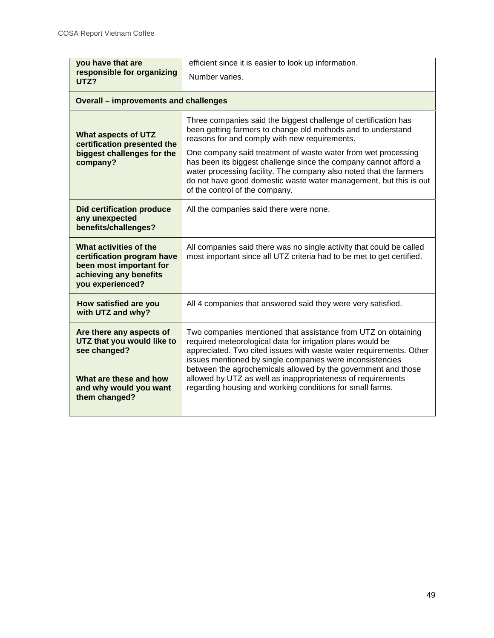| you have that are<br>responsible for organizing<br>UTZ?                                                                       | efficient since it is easier to look up information.<br>Number varies.                                                                                                                                                                                                                                                                                                                                                                                                                             |  |
|-------------------------------------------------------------------------------------------------------------------------------|----------------------------------------------------------------------------------------------------------------------------------------------------------------------------------------------------------------------------------------------------------------------------------------------------------------------------------------------------------------------------------------------------------------------------------------------------------------------------------------------------|--|
| <b>Overall - improvements and challenges</b>                                                                                  |                                                                                                                                                                                                                                                                                                                                                                                                                                                                                                    |  |
| <b>What aspects of UTZ</b><br>certification presented the<br>biggest challenges for the<br>company?                           | Three companies said the biggest challenge of certification has<br>been getting farmers to change old methods and to understand<br>reasons for and comply with new requirements.<br>One company said treatment of waste water from wet processing<br>has been its biggest challenge since the company cannot afford a<br>water processing facility. The company also noted that the farmers<br>do not have good domestic waste water management, but this is out<br>of the control of the company. |  |
| <b>Did certification produce</b><br>any unexpected<br>benefits/challenges?                                                    | All the companies said there were none.                                                                                                                                                                                                                                                                                                                                                                                                                                                            |  |
| What activities of the<br>certification program have<br>been most important for<br>achieving any benefits<br>you experienced? | All companies said there was no single activity that could be called<br>most important since all UTZ criteria had to be met to get certified.                                                                                                                                                                                                                                                                                                                                                      |  |
| How satisfied are you<br>with UTZ and why?                                                                                    | All 4 companies that answered said they were very satisfied.                                                                                                                                                                                                                                                                                                                                                                                                                                       |  |
| Are there any aspects of<br>UTZ that you would like to<br>see changed?<br>What are these and how                              | Two companies mentioned that assistance from UTZ on obtaining<br>required meteorological data for irrigation plans would be<br>appreciated. Two cited issues with waste water requirements. Other<br>issues mentioned by single companies were inconsistencies<br>between the agrochemicals allowed by the government and those<br>allowed by UTZ as well as inappropriateness of requirements                                                                                                     |  |
| and why would you want<br>them changed?                                                                                       | regarding housing and working conditions for small farms.                                                                                                                                                                                                                                                                                                                                                                                                                                          |  |